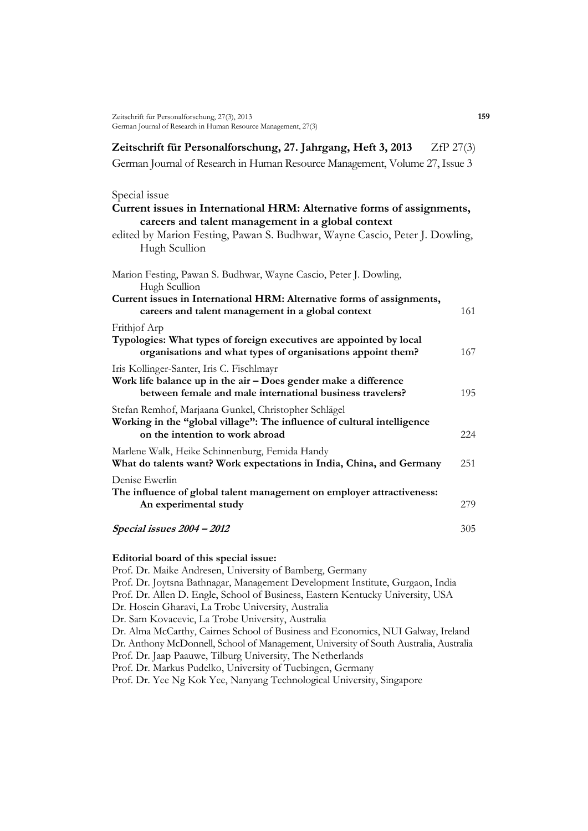Zeitschrift für Personalforschung, 27(3), 2013 **159**  German Journal of Research in Human Resource Management, 27(3)

## **Zeitschrift für Personalforschung, 27. Jahrgang, Heft 3, 2013** ZfP 27(3)

German Journal of Research in Human Resource Management, Volume 27, Issue 3

Special issue

| Current issues in International HRM: Alternative forms of assignments,<br>careers and talent management in a global context<br>edited by Marion Festing, Pawan S. Budhwar, Wayne Cascio, Peter J. Dowling,<br>Hugh Scullion |     |
|-----------------------------------------------------------------------------------------------------------------------------------------------------------------------------------------------------------------------------|-----|
| Marion Festing, Pawan S. Budhwar, Wayne Cascio, Peter J. Dowling,<br>Hugh Scullion                                                                                                                                          |     |
| Current issues in International HRM: Alternative forms of assignments,<br>careers and talent management in a global context                                                                                                 | 161 |
| Frithjof Arp<br>Typologies: What types of foreign executives are appointed by local<br>organisations and what types of organisations appoint them?                                                                          | 167 |
| Iris Kollinger-Santer, Iris C. Fischlmayr<br>Work life balance up in the $air - Does gender make a difference$<br>between female and male international business travelers?                                                 | 195 |
| Stefan Remhof, Marjaana Gunkel, Christopher Schlägel<br>Working in the "global village": The influence of cultural intelligence<br>on the intention to work abroad                                                          | 224 |
| Marlene Walk, Heike Schinnenburg, Femida Handy<br>What do talents want? Work expectations in India, China, and Germany                                                                                                      | 251 |
| Denise Ewerlin<br>The influence of global talent management on employer attractiveness:<br>An experimental study                                                                                                            | 279 |
| Special issues 2004 - 2012                                                                                                                                                                                                  | 305 |

#### **Editorial board of this special issue:**

Prof. Dr. Maike Andresen, University of Bamberg, Germany Prof. Dr. Joytsna Bathnagar, Management Development Institute, Gurgaon, India Prof. Dr. Allen D. Engle, School of Business, Eastern Kentucky University, USA Dr. Hosein Gharavi, La Trobe University, Australia Dr. Sam Kovacevic, La Trobe University, Australia Dr. Alma McCarthy, Cairnes School of Business and Economics, NUI Galway, Ireland Dr. Anthony McDonnell, School of Management, University of South Australia, Australia Prof. Dr. Jaap Paauwe, Tilburg University, The Netherlands Prof. Dr. Markus Pudelko, University of Tuebingen, Germany Prof. Dr. Yee Ng Kok Yee, Nanyang Technological University, Singapore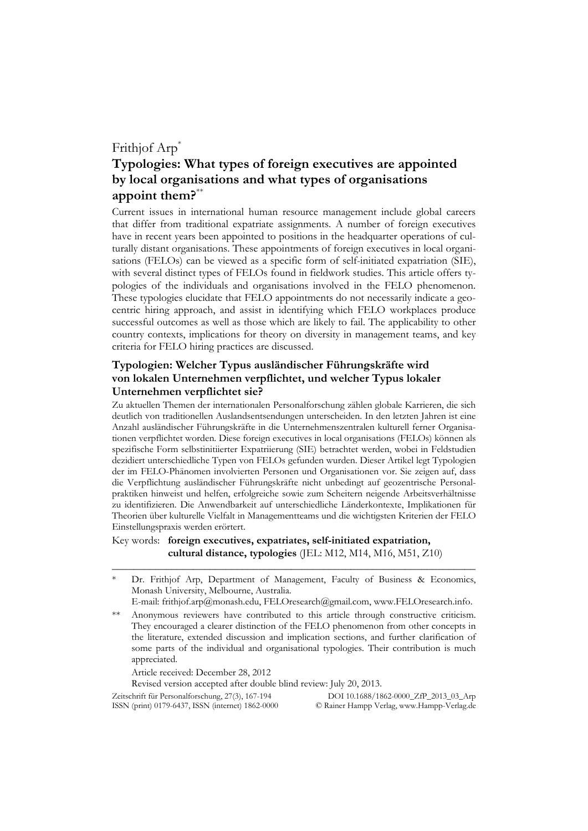# Frithjof Arp\*

# **Typologies: What types of foreign executives are appointed by local organisations and what types of organisations appoint them?**\*\*

Current issues in international human resource management include global careers that differ from traditional expatriate assignments. A number of foreign executives have in recent years been appointed to positions in the headquarter operations of culturally distant organisations. These appointments of foreign executives in local organisations (FELOs) can be viewed as a specific form of self-initiated expatriation (SIE), with several distinct types of FELOs found in fieldwork studies. This article offers typologies of the individuals and organisations involved in the FELO phenomenon. These typologies elucidate that FELO appointments do not necessarily indicate a geocentric hiring approach, and assist in identifying which FELO workplaces produce successful outcomes as well as those which are likely to fail. The applicability to other country contexts, implications for theory on diversity in management teams, and key criteria for FELO hiring practices are discussed.

## **Typologien: Welcher Typus ausländischer Führungskräfte wird von lokalen Unternehmen verpflichtet, und welcher Typus lokaler Unternehmen verpflichtet sie?**

Zu aktuellen Themen der internationalen Personalforschung zählen globale Karrieren, die sich deutlich von traditionellen Auslandsentsendungen unterscheiden. In den letzten Jahren ist eine Anzahl ausländischer Führungskräfte in die Unternehmenszentralen kulturell ferner Organisationen verpflichtet worden. Diese foreign executives in local organisations (FELOs) können als spezifische Form selbstinitiierter Expatriierung (SIE) betrachtet werden, wobei in Feldstudien dezidiert unterschiedliche Typen von FELOs gefunden wurden. Dieser Artikel legt Typologien der im FELO-Phänomen involvierten Personen und Organisationen vor. Sie zeigen auf, dass die Verpflichtung ausländischer Führungskräfte nicht unbedingt auf geozentrische Personalpraktiken hinweist und helfen, erfolgreiche sowie zum Scheitern neigende Arbeitsverhältnisse zu identifizieren. Die Anwendbarkeit auf unterschiedliche Länderkontexte, Implikationen für Theorien über kulturelle Vielfalt in Managementteams und die wichtigsten Kriterien der FELO Einstellungspraxis werden erörtert.

Key words: **foreign executives, expatriates, self-initiated expatriation, cultural distance, typologies** (JEL: M12, M14, M16, M51, Z10)

*\_\_\_\_\_\_\_\_\_\_\_\_\_\_\_\_\_\_\_\_\_\_\_\_\_\_\_\_\_\_\_\_\_\_\_\_\_\_\_\_\_\_\_\_\_\_\_\_\_\_\_\_\_\_\_\_\_\_\_\_\_\_\_\_\_\_\_* 

E-mail: frithjof.arp@monash.edu, FELOresearch@gmail.com, www.FELOresearch.info.

Anonymous reviewers have contributed to this article through constructive criticism. They encouraged a clearer distinction of the FELO phenomenon from other concepts in the literature, extended discussion and implication sections, and further clarification of some parts of the individual and organisational typologies. Their contribution is much appreciated.

Article received: December 28, 2012

Revised version accepted after double blind review: July 20, 2013.

ISSN (print) 0179-6437, ISSN (internet) 1862-0000

Zeitschrift für Personalforschung, 27(3), 167-194 DOI 10.1688/1862-0000\_ZfP\_2013\_03\_Arp ISSN (print) 0179-6437, ISSN (internet) 1862-0000  $\bullet$  Rainer Hampp Verlag, www.Hampp-Verlag.de

Dr. Frithjof Arp, Department of Management, Faculty of Business & Economics, Monash University, Melbourne, Australia.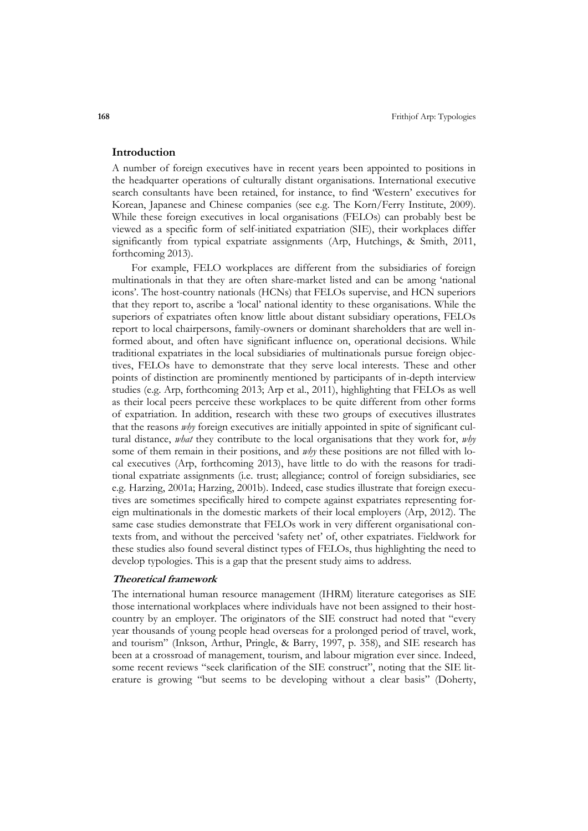## **Introduction**

A number of foreign executives have in recent years been appointed to positions in the headquarter operations of culturally distant organisations. International executive search consultants have been retained, for instance, to find 'Western' executives for Korean, Japanese and Chinese companies (see e.g. The Korn/Ferry Institute, 2009). While these foreign executives in local organisations (FELOs) can probably best be viewed as a specific form of self-initiated expatriation (SIE), their workplaces differ significantly from typical expatriate assignments (Arp, Hutchings, & Smith, 2011, forthcoming 2013).

For example, FELO workplaces are different from the subsidiaries of foreign multinationals in that they are often share-market listed and can be among 'national icons'. The host-country nationals (HCNs) that FELOs supervise, and HCN superiors that they report to, ascribe a 'local' national identity to these organisations. While the superiors of expatriates often know little about distant subsidiary operations, FELOs report to local chairpersons, family-owners or dominant shareholders that are well informed about, and often have significant influence on, operational decisions. While traditional expatriates in the local subsidiaries of multinationals pursue foreign objectives, FELOs have to demonstrate that they serve local interests. These and other points of distinction are prominently mentioned by participants of in-depth interview studies (e.g. Arp, forthcoming 2013; Arp et al., 2011), highlighting that FELOs as well as their local peers perceive these workplaces to be quite different from other forms of expatriation. In addition, research with these two groups of executives illustrates that the reasons *why* foreign executives are initially appointed in spite of significant cultural distance, *what* they contribute to the local organisations that they work for, *why* some of them remain in their positions, and *why* these positions are not filled with local executives (Arp, forthcoming 2013), have little to do with the reasons for traditional expatriate assignments (i.e. trust; allegiance; control of foreign subsidiaries, see e.g. Harzing, 2001a; Harzing, 2001b). Indeed, case studies illustrate that foreign executives are sometimes specifically hired to compete against expatriates representing foreign multinationals in the domestic markets of their local employers (Arp, 2012). The same case studies demonstrate that FELOs work in very different organisational contexts from, and without the perceived 'safety net' of, other expatriates. Fieldwork for these studies also found several distinct types of FELOs, thus highlighting the need to develop typologies. This is a gap that the present study aims to address.

#### **Theoretical framework**

The international human resource management (IHRM) literature categorises as SIE those international workplaces where individuals have not been assigned to their hostcountry by an employer. The originators of the SIE construct had noted that "every year thousands of young people head overseas for a prolonged period of travel, work, and tourism" (Inkson, Arthur, Pringle, & Barry, 1997, p. 358), and SIE research has been at a crossroad of management, tourism, and labour migration ever since. Indeed, some recent reviews "seek clarification of the SIE construct", noting that the SIE literature is growing "but seems to be developing without a clear basis" (Doherty,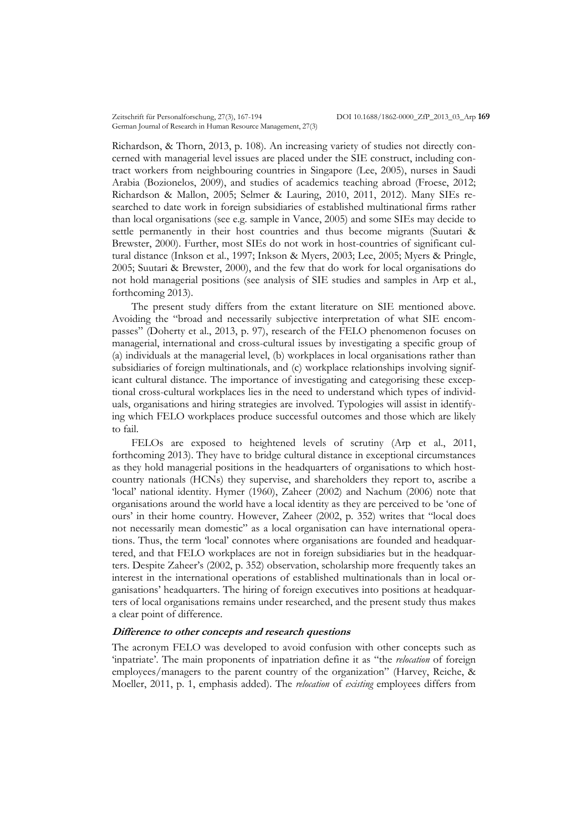Richardson, & Thorn, 2013, p. 108). An increasing variety of studies not directly concerned with managerial level issues are placed under the SIE construct, including contract workers from neighbouring countries in Singapore (Lee, 2005), nurses in Saudi Arabia (Bozionelos, 2009), and studies of academics teaching abroad (Froese, 2012; Richardson & Mallon, 2005; Selmer & Lauring, 2010, 2011, 2012). Many SIEs researched to date work in foreign subsidiaries of established multinational firms rather than local organisations (see e.g. sample in Vance, 2005) and some SIEs may decide to settle permanently in their host countries and thus become migrants (Suutari & Brewster, 2000). Further, most SIEs do not work in host-countries of significant cultural distance (Inkson et al., 1997; Inkson & Myers, 2003; Lee, 2005; Myers & Pringle, 2005; Suutari & Brewster, 2000), and the few that do work for local organisations do not hold managerial positions (see analysis of SIE studies and samples in Arp et al., forthcoming 2013).

The present study differs from the extant literature on SIE mentioned above. Avoiding the "broad and necessarily subjective interpretation of what SIE encompasses" (Doherty et al., 2013, p. 97), research of the FELO phenomenon focuses on managerial, international and cross-cultural issues by investigating a specific group of (a) individuals at the managerial level, (b) workplaces in local organisations rather than subsidiaries of foreign multinationals, and (c) workplace relationships involving significant cultural distance. The importance of investigating and categorising these exceptional cross-cultural workplaces lies in the need to understand which types of individuals, organisations and hiring strategies are involved. Typologies will assist in identifying which FELO workplaces produce successful outcomes and those which are likely to fail.

FELOs are exposed to heightened levels of scrutiny (Arp et al., 2011, forthcoming 2013). They have to bridge cultural distance in exceptional circumstances as they hold managerial positions in the headquarters of organisations to which hostcountry nationals (HCNs) they supervise, and shareholders they report to, ascribe a 'local' national identity. Hymer (1960), Zaheer (2002) and Nachum (2006) note that organisations around the world have a local identity as they are perceived to be 'one of ours' in their home country. However, Zaheer (2002, p. 352) writes that "local does not necessarily mean domestic" as a local organisation can have international operations. Thus, the term 'local' connotes where organisations are founded and headquartered, and that FELO workplaces are not in foreign subsidiaries but in the headquarters. Despite Zaheer's (2002, p. 352) observation, scholarship more frequently takes an interest in the international operations of established multinationals than in local organisations' headquarters. The hiring of foreign executives into positions at headquarters of local organisations remains under researched, and the present study thus makes a clear point of difference.

## **Difference to other concepts and research questions**

The acronym FELO was developed to avoid confusion with other concepts such as 'inpatriate'. The main proponents of inpatriation define it as "the *relocation* of foreign employees/managers to the parent country of the organization" (Harvey, Reiche, & Moeller, 2011, p. 1, emphasis added). The *relocation* of *existing* employees differs from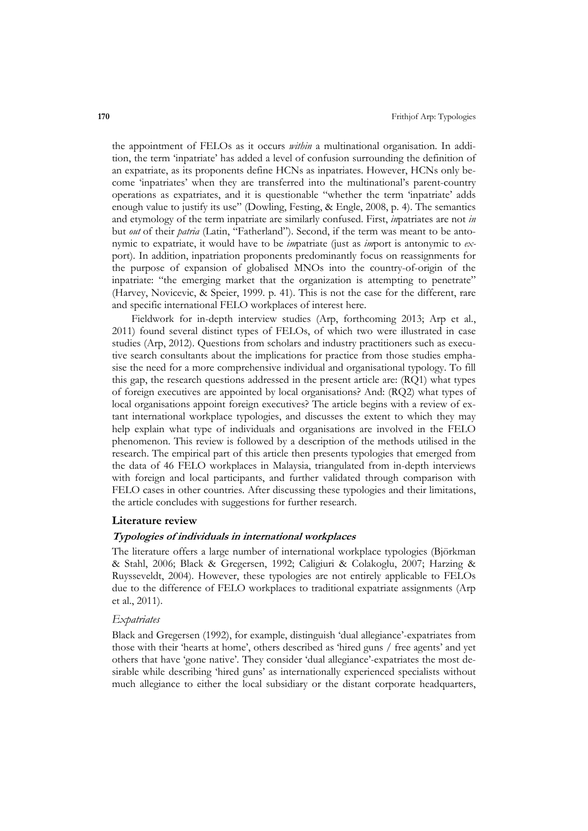the appointment of FELOs as it occurs *within* a multinational organisation. In addition, the term 'inpatriate' has added a level of confusion surrounding the definition of an expatriate, as its proponents define HCNs as inpatriates. However, HCNs only become 'inpatriates' when they are transferred into the multinational's parent-country operations as expatriates, and it is questionable "whether the term 'inpatriate' adds enough value to justify its use" (Dowling, Festing, & Engle, 2008, p. 4). The semantics and etymology of the term inpatriate are similarly confused. First, *in*patriates are not *in* but *out* of their *patria* (Latin, "Fatherland"). Second, if the term was meant to be antonymic to expatriate, it would have to be *im*patriate (just as *im*port is antonymic to *ex*port). In addition, inpatriation proponents predominantly focus on reassignments for the purpose of expansion of globalised MNOs into the country-of-origin of the inpatriate: "the emerging market that the organization is attempting to penetrate" (Harvey, Novicevic, & Speier, 1999. p. 41). This is not the case for the different, rare and specific international FELO workplaces of interest here.

Fieldwork for in-depth interview studies (Arp, forthcoming 2013; Arp et al., 2011) found several distinct types of FELOs, of which two were illustrated in case studies (Arp, 2012). Questions from scholars and industry practitioners such as executive search consultants about the implications for practice from those studies emphasise the need for a more comprehensive individual and organisational typology. To fill this gap, the research questions addressed in the present article are: (RQ1) what types of foreign executives are appointed by local organisations? And: (RQ2) what types of local organisations appoint foreign executives? The article begins with a review of extant international workplace typologies, and discusses the extent to which they may help explain what type of individuals and organisations are involved in the FELO phenomenon. This review is followed by a description of the methods utilised in the research. The empirical part of this article then presents typologies that emerged from the data of 46 FELO workplaces in Malaysia, triangulated from in-depth interviews with foreign and local participants, and further validated through comparison with FELO cases in other countries. After discussing these typologies and their limitations, the article concludes with suggestions for further research.

#### **Literature review**

#### **Typologies of individuals in international workplaces**

The literature offers a large number of international workplace typologies (Björkman & Stahl, 2006; Black & Gregersen, 1992; Caligiuri & Colakoglu, 2007; Harzing & Ruysseveldt, 2004). However, these typologies are not entirely applicable to FELOs due to the difference of FELO workplaces to traditional expatriate assignments (Arp et al., 2011).

#### *Expatriates*

Black and Gregersen (1992), for example, distinguish 'dual allegiance'-expatriates from those with their 'hearts at home', others described as 'hired guns / free agents' and yet others that have 'gone native'. They consider 'dual allegiance'-expatriates the most desirable while describing 'hired guns' as internationally experienced specialists without much allegiance to either the local subsidiary or the distant corporate headquarters,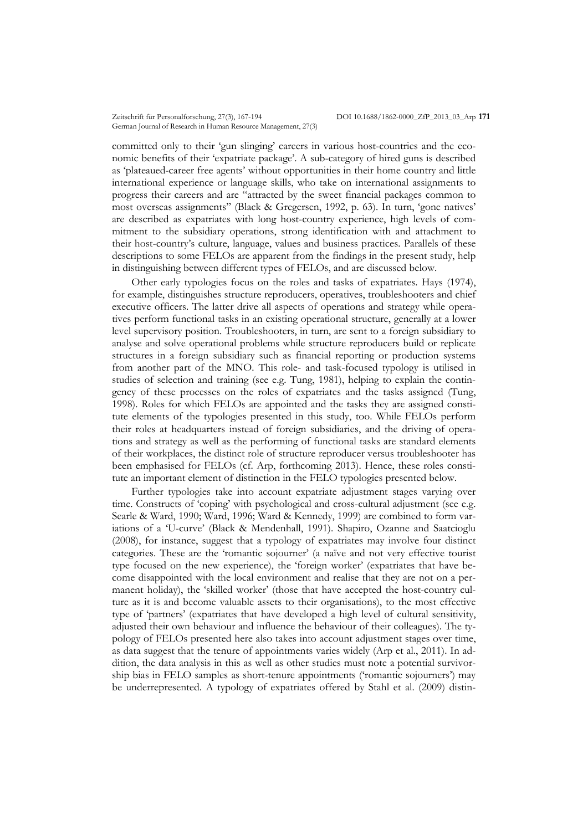committed only to their 'gun slinging' careers in various host-countries and the economic benefits of their 'expatriate package'. A sub-category of hired guns is described as 'plateaued-career free agents' without opportunities in their home country and little international experience or language skills, who take on international assignments to progress their careers and are "attracted by the sweet financial packages common to most overseas assignments" (Black & Gregersen, 1992, p. 63). In turn, 'gone natives' are described as expatriates with long host-country experience, high levels of commitment to the subsidiary operations, strong identification with and attachment to their host-country's culture, language, values and business practices. Parallels of these descriptions to some FELOs are apparent from the findings in the present study, help in distinguishing between different types of FELOs, and are discussed below.

Other early typologies focus on the roles and tasks of expatriates. Hays (1974), for example, distinguishes structure reproducers, operatives, troubleshooters and chief executive officers. The latter drive all aspects of operations and strategy while operatives perform functional tasks in an existing operational structure, generally at a lower level supervisory position. Troubleshooters, in turn, are sent to a foreign subsidiary to analyse and solve operational problems while structure reproducers build or replicate structures in a foreign subsidiary such as financial reporting or production systems from another part of the MNO. This role- and task-focused typology is utilised in studies of selection and training (see e.g. Tung, 1981), helping to explain the contingency of these processes on the roles of expatriates and the tasks assigned (Tung, 1998). Roles for which FELOs are appointed and the tasks they are assigned constitute elements of the typologies presented in this study, too. While FELOs perform their roles at headquarters instead of foreign subsidiaries, and the driving of operations and strategy as well as the performing of functional tasks are standard elements of their workplaces, the distinct role of structure reproducer versus troubleshooter has been emphasised for FELOs (cf. Arp, forthcoming 2013). Hence, these roles constitute an important element of distinction in the FELO typologies presented below.

Further typologies take into account expatriate adjustment stages varying over time. Constructs of 'coping' with psychological and cross-cultural adjustment (see e.g. Searle & Ward, 1990; Ward, 1996; Ward & Kennedy, 1999) are combined to form variations of a 'U-curve' (Black & Mendenhall, 1991). Shapiro, Ozanne and Saatcioglu (2008), for instance, suggest that a typology of expatriates may involve four distinct categories. These are the 'romantic sojourner' (a naïve and not very effective tourist type focused on the new experience), the 'foreign worker' (expatriates that have become disappointed with the local environment and realise that they are not on a permanent holiday), the 'skilled worker' (those that have accepted the host-country culture as it is and become valuable assets to their organisations), to the most effective type of 'partners' (expatriates that have developed a high level of cultural sensitivity, adjusted their own behaviour and influence the behaviour of their colleagues). The typology of FELOs presented here also takes into account adjustment stages over time, as data suggest that the tenure of appointments varies widely (Arp et al., 2011). In addition, the data analysis in this as well as other studies must note a potential survivorship bias in FELO samples as short-tenure appointments ('romantic sojourners') may be underrepresented. A typology of expatriates offered by Stahl et al. (2009) distin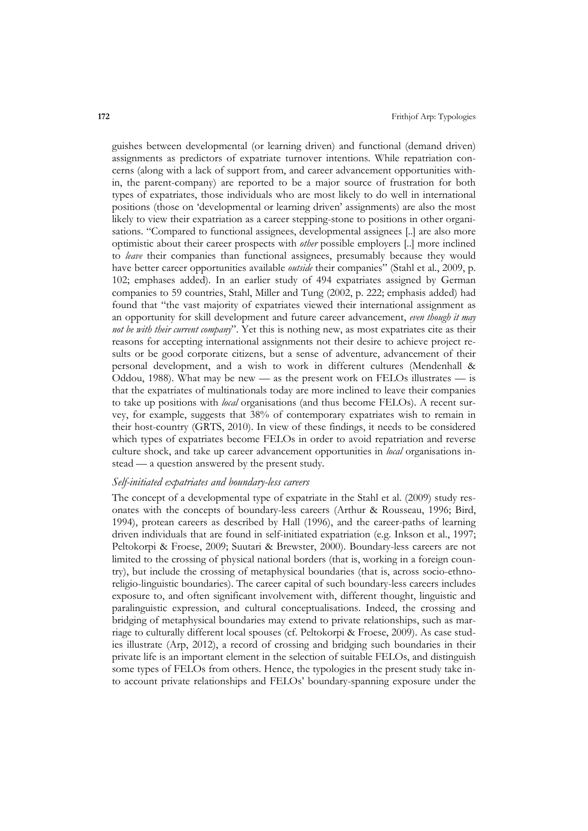guishes between developmental (or learning driven) and functional (demand driven) assignments as predictors of expatriate turnover intentions. While repatriation concerns (along with a lack of support from, and career advancement opportunities within, the parent-company) are reported to be a major source of frustration for both types of expatriates, those individuals who are most likely to do well in international positions (those on 'developmental or learning driven' assignments) are also the most likely to view their expatriation as a career stepping-stone to positions in other organisations. "Compared to functional assignees, developmental assignees [..] are also more optimistic about their career prospects with *other* possible employers [..] more inclined to *leave* their companies than functional assignees, presumably because they would have better career opportunities available *outside* their companies" (Stahl et al., 2009, p. 102; emphases added). In an earlier study of 494 expatriates assigned by German companies to 59 countries, Stahl, Miller and Tung (2002, p. 222; emphasis added) had found that "the vast majority of expatriates viewed their international assignment as an opportunity for skill development and future career advancement, *even though it may not be with their current company*". Yet this is nothing new, as most expatriates cite as their reasons for accepting international assignments not their desire to achieve project results or be good corporate citizens, but a sense of adventure, advancement of their personal development, and a wish to work in different cultures (Mendenhall & Oddou, 1988). What may be new — as the present work on FELOs illustrates — is that the expatriates of multinationals today are more inclined to leave their companies to take up positions with *local* organisations (and thus become FELOs). A recent survey, for example, suggests that 38% of contemporary expatriates wish to remain in their host-country (GRTS, 2010). In view of these findings, it needs to be considered which types of expatriates become FELOs in order to avoid repatriation and reverse culture shock, and take up career advancement opportunities in *local* organisations instead — a question answered by the present study.

#### *Self-initiated expatriates and boundary-less careers*

The concept of a developmental type of expatriate in the Stahl et al. (2009) study resonates with the concepts of boundary-less careers (Arthur & Rousseau, 1996; Bird, 1994), protean careers as described by Hall (1996), and the career-paths of learning driven individuals that are found in self-initiated expatriation (e.g. Inkson et al., 1997; Peltokorpi & Froese, 2009; Suutari & Brewster, 2000). Boundary-less careers are not limited to the crossing of physical national borders (that is, working in a foreign country), but include the crossing of metaphysical boundaries (that is, across socio-ethnoreligio-linguistic boundaries). The career capital of such boundary-less careers includes exposure to, and often significant involvement with, different thought, linguistic and paralinguistic expression, and cultural conceptualisations. Indeed, the crossing and bridging of metaphysical boundaries may extend to private relationships, such as marriage to culturally different local spouses (cf. Peltokorpi & Froese, 2009). As case studies illustrate (Arp, 2012), a record of crossing and bridging such boundaries in their private life is an important element in the selection of suitable FELOs, and distinguish some types of FELOs from others. Hence, the typologies in the present study take into account private relationships and FELOs' boundary-spanning exposure under the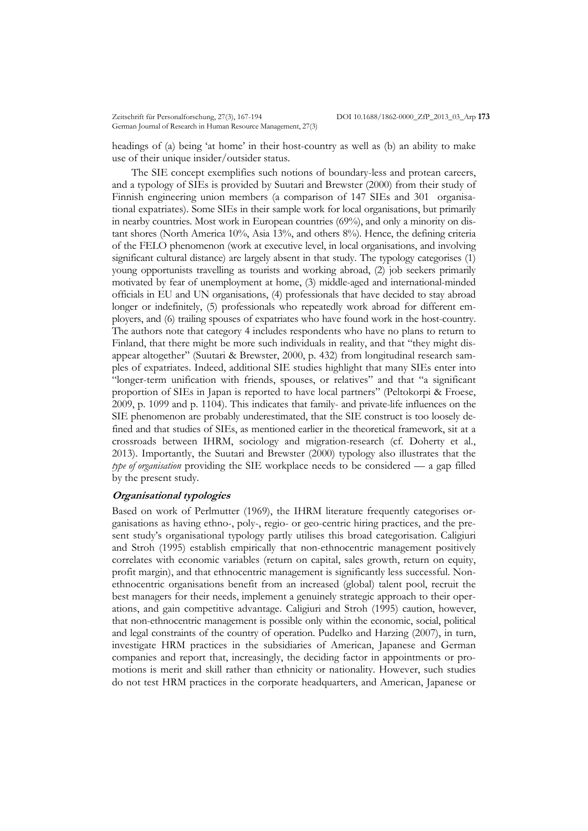headings of (a) being 'at home' in their host-country as well as (b) an ability to make use of their unique insider/outsider status.

The SIE concept exemplifies such notions of boundary-less and protean careers, and a typology of SIEs is provided by Suutari and Brewster (2000) from their study of Finnish engineering union members (a comparison of 147 SIEs and 301 organisational expatriates). Some SIEs in their sample work for local organisations, but primarily in nearby countries. Most work in European countries (69%), and only a minority on distant shores (North America 10%, Asia 13%, and others 8%). Hence, the defining criteria of the FELO phenomenon (work at executive level, in local organisations, and involving significant cultural distance) are largely absent in that study. The typology categorises (1) young opportunists travelling as tourists and working abroad, (2) job seekers primarily motivated by fear of unemployment at home, (3) middle-aged and international-minded officials in EU and UN organisations, (4) professionals that have decided to stay abroad longer or indefinitely, (5) professionals who repeatedly work abroad for different employers, and (6) trailing spouses of expatriates who have found work in the host-country. The authors note that category 4 includes respondents who have no plans to return to Finland, that there might be more such individuals in reality, and that "they might disappear altogether" (Suutari & Brewster, 2000, p. 432) from longitudinal research samples of expatriates. Indeed, additional SIE studies highlight that many SIEs enter into "longer-term unification with friends, spouses, or relatives" and that "a significant proportion of SIEs in Japan is reported to have local partners" (Peltokorpi & Froese, 2009, p. 1099 and p. 1104). This indicates that family- and private-life influences on the SIE phenomenon are probably underestimated, that the SIE construct is too loosely defined and that studies of SIEs, as mentioned earlier in the theoretical framework, sit at a crossroads between IHRM, sociology and migration-research (cf. Doherty et al., 2013). Importantly, the Suutari and Brewster (2000) typology also illustrates that the *type of organisation* providing the SIE workplace needs to be considered — a gap filled by the present study.

#### **Organisational typologies**

Based on work of Perlmutter (1969), the IHRM literature frequently categorises organisations as having ethno-, poly-, regio- or geo-centric hiring practices, and the present study's organisational typology partly utilises this broad categorisation. Caligiuri and Stroh (1995) establish empirically that non-ethnocentric management positively correlates with economic variables (return on capital, sales growth, return on equity, profit margin), and that ethnocentric management is significantly less successful. Nonethnocentric organisations benefit from an increased (global) talent pool, recruit the best managers for their needs, implement a genuinely strategic approach to their operations, and gain competitive advantage. Caligiuri and Stroh (1995) caution, however, that non-ethnocentric management is possible only within the economic, social, political and legal constraints of the country of operation. Pudelko and Harzing (2007), in turn, investigate HRM practices in the subsidiaries of American, Japanese and German companies and report that, increasingly, the deciding factor in appointments or promotions is merit and skill rather than ethnicity or nationality. However, such studies do not test HRM practices in the corporate headquarters, and American, Japanese or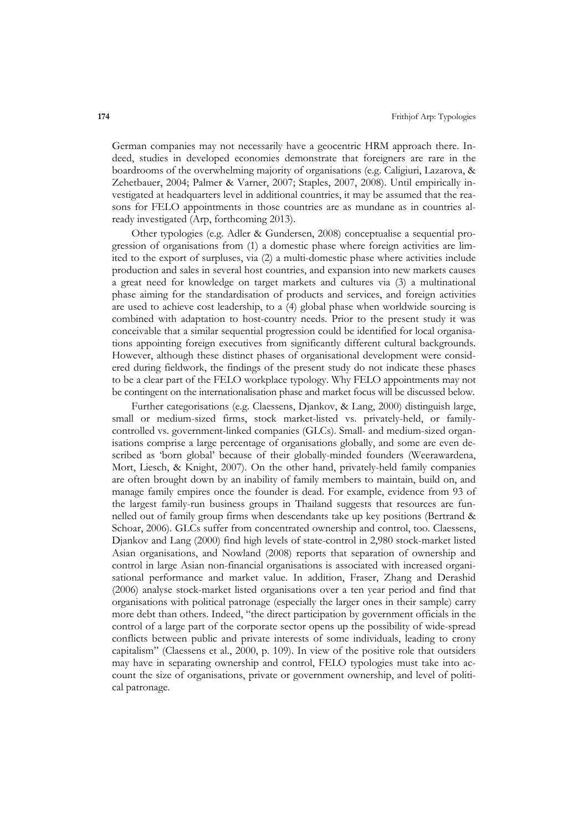German companies may not necessarily have a geocentric HRM approach there. Indeed, studies in developed economies demonstrate that foreigners are rare in the boardrooms of the overwhelming majority of organisations (e.g. Caligiuri, Lazarova, & Zehetbauer, 2004; Palmer & Varner, 2007; Staples, 2007, 2008). Until empirically investigated at headquarters level in additional countries, it may be assumed that the reasons for FELO appointments in those countries are as mundane as in countries already investigated (Arp, forthcoming 2013).

Other typologies (e.g. Adler & Gundersen, 2008) conceptualise a sequential progression of organisations from (1) a domestic phase where foreign activities are limited to the export of surpluses, via (2) a multi-domestic phase where activities include production and sales in several host countries, and expansion into new markets causes a great need for knowledge on target markets and cultures via (3) a multinational phase aiming for the standardisation of products and services, and foreign activities are used to achieve cost leadership, to a (4) global phase when worldwide sourcing is combined with adaptation to host-country needs. Prior to the present study it was conceivable that a similar sequential progression could be identified for local organisations appointing foreign executives from significantly different cultural backgrounds. However, although these distinct phases of organisational development were considered during fieldwork, the findings of the present study do not indicate these phases to be a clear part of the FELO workplace typology. Why FELO appointments may not be contingent on the internationalisation phase and market focus will be discussed below.

Further categorisations (e.g. Claessens, Djankov, & Lang, 2000) distinguish large, small or medium-sized firms, stock market-listed vs. privately-held, or familycontrolled vs. government-linked companies (GLCs). Small- and medium-sized organisations comprise a large percentage of organisations globally, and some are even described as 'born global' because of their globally-minded founders (Weerawardena, Mort, Liesch, & Knight, 2007). On the other hand, privately-held family companies are often brought down by an inability of family members to maintain, build on, and manage family empires once the founder is dead. For example, evidence from 93 of the largest family-run business groups in Thailand suggests that resources are funnelled out of family group firms when descendants take up key positions (Bertrand & Schoar, 2006). GLCs suffer from concentrated ownership and control, too. Claessens, Djankov and Lang (2000) find high levels of state-control in 2,980 stock-market listed Asian organisations, and Nowland (2008) reports that separation of ownership and control in large Asian non-financial organisations is associated with increased organisational performance and market value. In addition, Fraser, Zhang and Derashid (2006) analyse stock-market listed organisations over a ten year period and find that organisations with political patronage (especially the larger ones in their sample) carry more debt than others. Indeed, "the direct participation by government officials in the control of a large part of the corporate sector opens up the possibility of wide-spread conflicts between public and private interests of some individuals, leading to crony capitalism" (Claessens et al., 2000, p. 109). In view of the positive role that outsiders may have in separating ownership and control, FELO typologies must take into account the size of organisations, private or government ownership, and level of political patronage.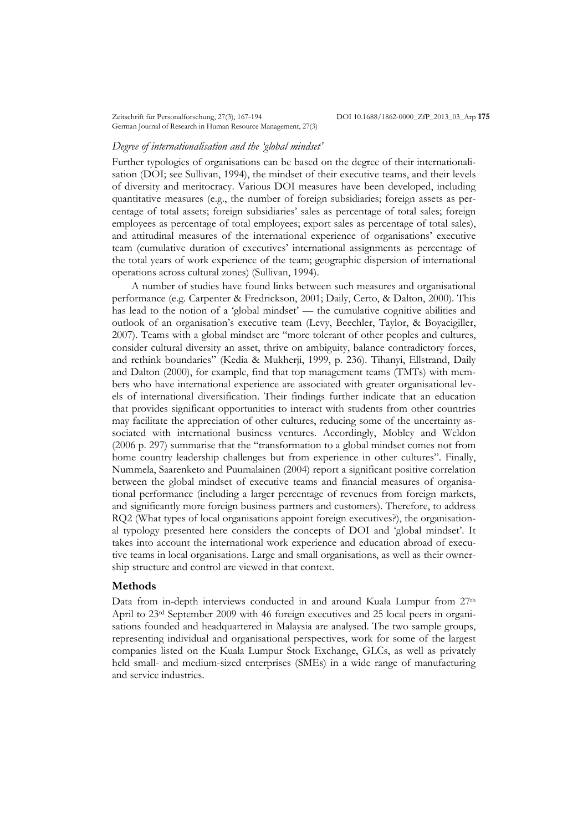## *Degree of internationalisation and the 'global mindset'*

Further typologies of organisations can be based on the degree of their internationalisation (DOI; see Sullivan, 1994), the mindset of their executive teams, and their levels of diversity and meritocracy. Various DOI measures have been developed, including quantitative measures (e.g., the number of foreign subsidiaries; foreign assets as percentage of total assets; foreign subsidiaries' sales as percentage of total sales; foreign employees as percentage of total employees; export sales as percentage of total sales), and attitudinal measures of the international experience of organisations' executive team (cumulative duration of executives' international assignments as percentage of the total years of work experience of the team; geographic dispersion of international operations across cultural zones) (Sullivan, 1994).

A number of studies have found links between such measures and organisational performance (e.g. Carpenter & Fredrickson, 2001; Daily, Certo, & Dalton, 2000). This has lead to the notion of a 'global mindset' — the cumulative cognitive abilities and outlook of an organisation's executive team (Levy, Beechler, Taylor, & Boyacigiller, 2007). Teams with a global mindset are "more tolerant of other peoples and cultures, consider cultural diversity an asset, thrive on ambiguity, balance contradictory forces, and rethink boundaries" (Kedia & Mukherji, 1999, p. 236). Tihanyi, Ellstrand, Daily and Dalton (2000), for example, find that top management teams (TMTs) with members who have international experience are associated with greater organisational levels of international diversification. Their findings further indicate that an education that provides significant opportunities to interact with students from other countries may facilitate the appreciation of other cultures, reducing some of the uncertainty associated with international business ventures. Accordingly, Mobley and Weldon (2006 p. 297) summarise that the "transformation to a global mindset comes not from home country leadership challenges but from experience in other cultures". Finally, Nummela, Saarenketo and Puumalainen (2004) report a significant positive correlation between the global mindset of executive teams and financial measures of organisational performance (including a larger percentage of revenues from foreign markets, and significantly more foreign business partners and customers). Therefore, to address RQ2 (What types of local organisations appoint foreign executives?), the organisational typology presented here considers the concepts of DOI and 'global mindset'. It takes into account the international work experience and education abroad of executive teams in local organisations. Large and small organisations, as well as their ownership structure and control are viewed in that context.

#### **Methods**

Data from in-depth interviews conducted in and around Kuala Lumpur from 27<sup>th</sup> April to 23rd September 2009 with 46 foreign executives and 25 local peers in organisations founded and headquartered in Malaysia are analysed. The two sample groups, representing individual and organisational perspectives, work for some of the largest companies listed on the Kuala Lumpur Stock Exchange, GLCs, as well as privately held small- and medium-sized enterprises (SMEs) in a wide range of manufacturing and service industries.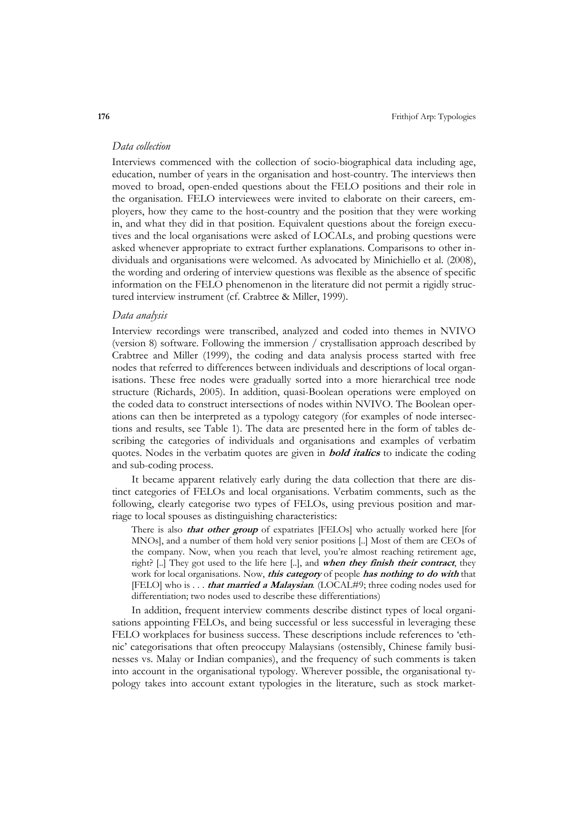## *Data collection*

Interviews commenced with the collection of socio-biographical data including age, education, number of years in the organisation and host-country. The interviews then moved to broad, open-ended questions about the FELO positions and their role in the organisation. FELO interviewees were invited to elaborate on their careers, employers, how they came to the host-country and the position that they were working in, and what they did in that position. Equivalent questions about the foreign executives and the local organisations were asked of LOCALs, and probing questions were asked whenever appropriate to extract further explanations. Comparisons to other individuals and organisations were welcomed. As advocated by Minichiello et al. (2008), the wording and ordering of interview questions was flexible as the absence of specific information on the FELO phenomenon in the literature did not permit a rigidly structured interview instrument (cf. Crabtree & Miller, 1999).

#### *Data analysis*

Interview recordings were transcribed, analyzed and coded into themes in NVIVO (version 8) software. Following the immersion / crystallisation approach described by Crabtree and Miller (1999), the coding and data analysis process started with free nodes that referred to differences between individuals and descriptions of local organisations. These free nodes were gradually sorted into a more hierarchical tree node structure (Richards, 2005). In addition, quasi-Boolean operations were employed on the coded data to construct intersections of nodes within NVIVO. The Boolean operations can then be interpreted as a typology category (for examples of node intersections and results, see Table 1). The data are presented here in the form of tables describing the categories of individuals and organisations and examples of verbatim quotes. Nodes in the verbatim quotes are given in **bold italics** to indicate the coding and sub-coding process.

It became apparent relatively early during the data collection that there are distinct categories of FELOs and local organisations. Verbatim comments, such as the following, clearly categorise two types of FELOs, using previous position and marriage to local spouses as distinguishing characteristics:

There is also **that other group** of expatriates [FELOs] who actually worked here [for MNOs], and a number of them hold very senior positions [..] Most of them are CEOs of the company. Now, when you reach that level, you're almost reaching retirement age, right? [..] They got used to the life here [..], and **when they finish their contract**, they work for local organisations. Now, **this category** of people **has nothing to do with** that [FELO] who is . . . **that married a Malaysian***.* (LOCAL#9; three coding nodes used for differentiation; two nodes used to describe these differentiations)

In addition, frequent interview comments describe distinct types of local organisations appointing FELOs, and being successful or less successful in leveraging these FELO workplaces for business success. These descriptions include references to 'ethnic' categorisations that often preoccupy Malaysians (ostensibly, Chinese family businesses vs. Malay or Indian companies), and the frequency of such comments is taken into account in the organisational typology. Wherever possible, the organisational typology takes into account extant typologies in the literature, such as stock market-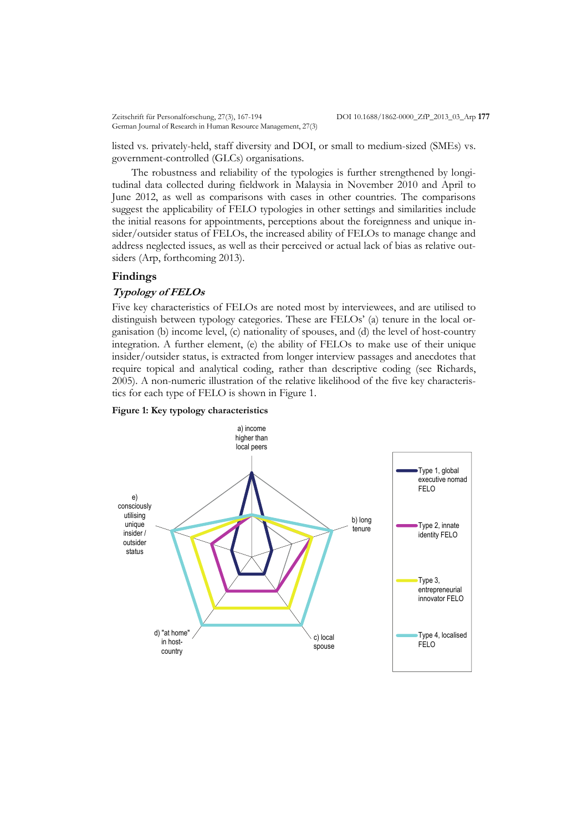Zeitschrift für Personalforschung, 27(3), 167-194 DOI 10.1688/1862-0000\_ZfP\_2013\_03\_Arp **177**  German Journal of Research in Human Resource Management, 27(3)

listed vs. privately-held, staff diversity and DOI, or small to medium-sized (SMEs) vs. government-controlled (GLCs) organisations.

The robustness and reliability of the typologies is further strengthened by longitudinal data collected during fieldwork in Malaysia in November 2010 and April to June 2012, as well as comparisons with cases in other countries. The comparisons suggest the applicability of FELO typologies in other settings and similarities include the initial reasons for appointments, perceptions about the foreignness and unique insider/outsider status of FELOs, the increased ability of FELOs to manage change and address neglected issues, as well as their perceived or actual lack of bias as relative outsiders (Arp, forthcoming 2013).

## **Findings**

## **Typology of FELOs**

Five key characteristics of FELOs are noted most by interviewees, and are utilised to distinguish between typology categories. These are FELOs' (a) tenure in the local organisation (b) income level, (c) nationality of spouses, and (d) the level of host-country integration. A further element, (e) the ability of FELOs to make use of their unique insider/outsider status, is extracted from longer interview passages and anecdotes that require topical and analytical coding, rather than descriptive coding (see Richards, 2005). A non-numeric illustration of the relative likelihood of the five key characteristics for each type of FELO is shown in Figure 1.

#### **Figure 1: Key typology characteristics**

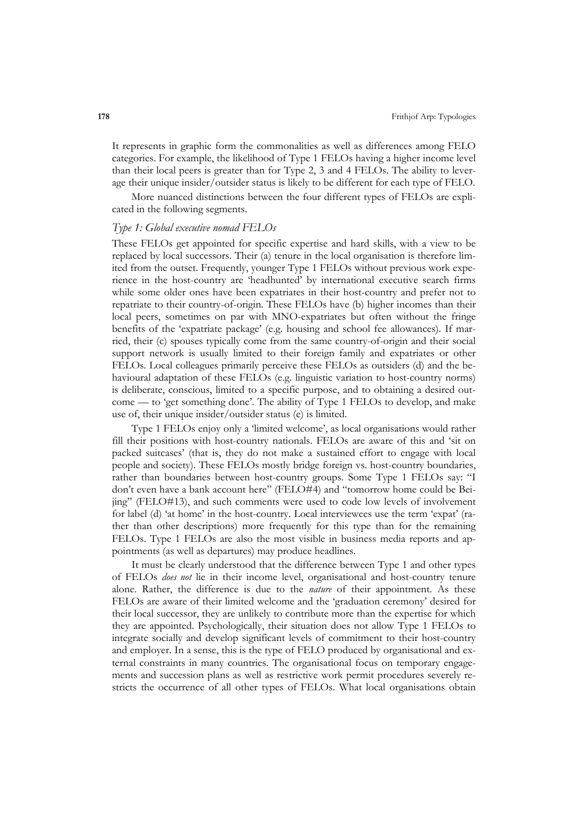It represents in graphic form the commonalities as well as differences among FELO categories. For example, the likelihood of Type 1 FELOs having a higher income level than their local peers is greater than for Type 2, 3 and 4 FELOs. The ability to leverage their unique insider/outsider status is likely to be different for each type of FELO.

More nuanced distinctions between the four different types of FELOs are explicated in the following segments.

#### *Type 1: Global executive nomad FELOs*

These FELOs get appointed for specific expertise and hard skills, with a view to be replaced by local successors. Their (a) tenure in the local organisation is therefore limited from the outset. Frequently, younger Type 1 FELOs without previous work experience in the host-country are 'headhunted' by international executive search firms while some older ones have been expatriates in their host-country and prefer not to repatriate to their country-of-origin. These FELOs have (b) higher incomes than their local peers, sometimes on par with MNO-expatriates but often without the fringe benefits of the 'expatriate package' (e.g. housing and school fee allowances). If married, their (c) spouses typically come from the same country-of-origin and their social support network is usually limited to their foreign family and expatriates or other FELOs. Local colleagues primarily perceive these FELOs as outsiders (d) and the behavioural adaptation of these FELOs (e.g. linguistic variation to host-country norms) is deliberate, conscious, limited to a specific purpose, and to obtaining a desired outcome — to 'get something done'. The ability of Type 1 FELOs to develop, and make use of, their unique insider/outsider status (e) is limited.

Type 1 FELOs enjoy only a 'limited welcome', as local organisations would rather fill their positions with host-country nationals. FELOs are aware of this and 'sit on packed suitcases' (that is, they do not make a sustained effort to engage with local people and society). These FELOs mostly bridge foreign vs. host-country boundaries, rather than boundaries between host-country groups. Some Type 1 FELOs say: "I don't even have a bank account here" (FELO#4) and "tomorrow home could be Beijing" (FELO#13), and such comments were used to code low levels of involvement for label (d) 'at home' in the host-country. Local interviewees use the term 'expat' (rather than other descriptions) more frequently for this type than for the remaining FELOs. Type 1 FELOs are also the most visible in business media reports and appointments (as well as departures) may produce headlines.

It must be clearly understood that the difference between Type 1 and other types of FELOs *does not* lie in their income level, organisational and host-country tenure alone. Rather, the difference is due to the *nature* of their appointment. As these FELOs are aware of their limited welcome and the 'graduation ceremony' desired for their local successor, they are unlikely to contribute more than the expertise for which they are appointed. Psychologically, their situation does not allow Type 1 FELOs to integrate socially and develop significant levels of commitment to their host-country and employer. In a sense, this is the type of FELO produced by organisational and external constraints in many countries. The organisational focus on temporary engagements and succession plans as well as restrictive work permit procedures severely restricts the occurrence of all other types of FELOs. What local organisations obtain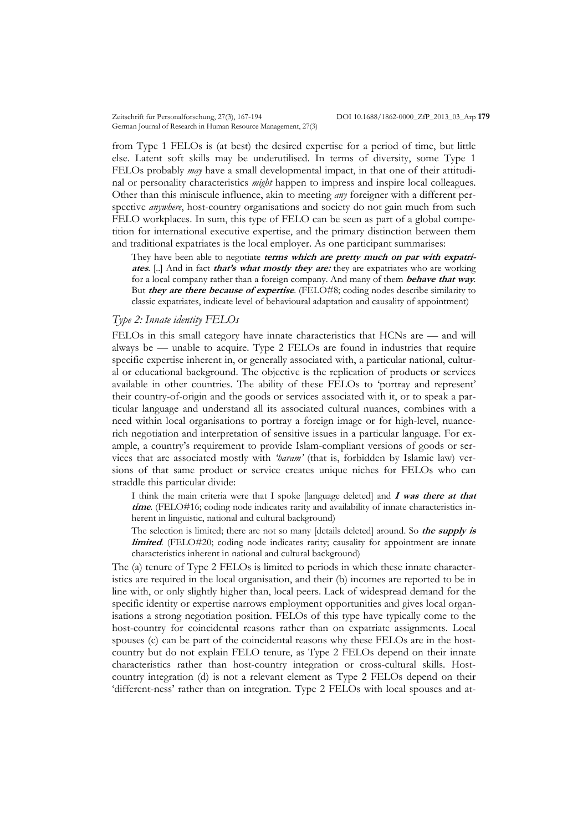from Type 1 FELOs is (at best) the desired expertise for a period of time, but little else. Latent soft skills may be underutilised. In terms of diversity, some Type 1 FELOs probably *may* have a small developmental impact, in that one of their attitudinal or personality characteristics *might* happen to impress and inspire local colleagues. Other than this miniscule influence, akin to meeting *any* foreigner with a different perspective *anywhere*, host-country organisations and society do not gain much from such FELO workplaces. In sum, this type of FELO can be seen as part of a global competition for international executive expertise, and the primary distinction between them and traditional expatriates is the local employer. As one participant summarises:

They have been able to negotiate **terms which are pretty much on par with expatriates**. [..] And in fact **that's what mostly they are:** they are expatriates who are working for a local company rather than a foreign company. And many of them **behave that way**. But **they are there because of expertise**. (FELO#8; coding nodes describe similarity to classic expatriates, indicate level of behavioural adaptation and causality of appointment)

## *Type 2: Innate identity FELOs*

FELOs in this small category have innate characteristics that HCNs are — and will always be — unable to acquire. Type 2 FELOs are found in industries that require specific expertise inherent in, or generally associated with, a particular national, cultural or educational background. The objective is the replication of products or services available in other countries. The ability of these FELOs to 'portray and represent' their country-of-origin and the goods or services associated with it, or to speak a particular language and understand all its associated cultural nuances, combines with a need within local organisations to portray a foreign image or for high-level, nuancerich negotiation and interpretation of sensitive issues in a particular language. For example, a country's requirement to provide Islam-compliant versions of goods or services that are associated mostly with *'haram'* (that is, forbidden by Islamic law) versions of that same product or service creates unique niches for FELOs who can straddle this particular divide:

I think the main criteria were that I spoke [language deleted] and **I was there at that time**. (FELO#16; coding node indicates rarity and availability of innate characteristics inherent in linguistic, national and cultural background)

The selection is limited; there are not so many [details deleted] around. So **the supply is limited**. (FELO#20; coding node indicates rarity; causality for appointment are innate characteristics inherent in national and cultural background)

The (a) tenure of Type 2 FELOs is limited to periods in which these innate characteristics are required in the local organisation, and their (b) incomes are reported to be in line with, or only slightly higher than, local peers. Lack of widespread demand for the specific identity or expertise narrows employment opportunities and gives local organisations a strong negotiation position. FELOs of this type have typically come to the host-country for coincidental reasons rather than on expatriate assignments. Local spouses (c) can be part of the coincidental reasons why these FELOs are in the hostcountry but do not explain FELO tenure, as Type 2 FELOs depend on their innate characteristics rather than host-country integration or cross-cultural skills. Hostcountry integration (d) is not a relevant element as Type 2 FELOs depend on their 'different-ness' rather than on integration. Type 2 FELOs with local spouses and at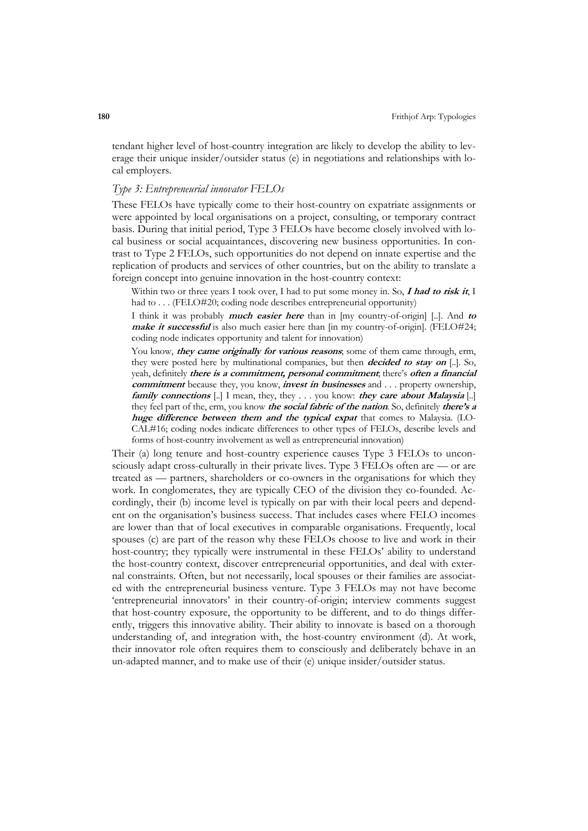tendant higher level of host-country integration are likely to develop the ability to leverage their unique insider/outsider status (e) in negotiations and relationships with local employers.

### *Type 3: Entrepreneurial innovator FELOs*

These FELOs have typically come to their host-country on expatriate assignments or were appointed by local organisations on a project, consulting, or temporary contract basis. During that initial period, Type 3 FELOs have become closely involved with local business or social acquaintances, discovering new business opportunities. In contrast to Type 2 FELOs, such opportunities do not depend on innate expertise and the replication of products and services of other countries, but on the ability to translate a foreign concept into genuine innovation in the host-country context:

Within two or three years I took over, I had to put some money in. So, **I had to risk it**, I had to . . . (FELO#20; coding node describes entrepreneurial opportunity)

I think it was probably **much easier here** than in [my country-of-origin] [..]. And **to**  *make it successful* is also much easier here than [in my country-of-origin]. (FELO#24; coding node indicates opportunity and talent for innovation)

You know, *they came originally for various reasons*; some of them came through, erm, they were posted here by multinational companies, but then **decided to stay on** [..]. So, yeah, definitely **there is a commitment, personal commitment**; there's **often a financial**  *commitment* because they, you know, *invest in businesses* and . . . property ownership, *family connections* [..] I mean, they, they . . . you know: *they care about Malaysia* [..] they feel part of the, erm, you know **the social fabric of the nation**. So, definitely **there's a huge difference between them and the typical expat** that comes to Malaysia. (LO-CAL#16; coding nodes indicate differences to other types of FELOs, describe levels and forms of host-country involvement as well as entrepreneurial innovation)

Their (a) long tenure and host-country experience causes Type 3 FELOs to unconsciously adapt cross-culturally in their private lives. Type 3 FELOs often are — or are treated as — partners, shareholders or co-owners in the organisations for which they work. In conglomerates, they are typically CEO of the division they co-founded. Accordingly, their (b) income level is typically on par with their local peers and dependent on the organisation's business success. That includes cases where FELO incomes are lower than that of local executives in comparable organisations. Frequently, local spouses (c) are part of the reason why these FELOs choose to live and work in their host-country; they typically were instrumental in these FELOs' ability to understand the host-country context, discover entrepreneurial opportunities, and deal with external constraints. Often, but not necessarily, local spouses or their families are associated with the entrepreneurial business venture. Type 3 FELOs may not have become 'entrepreneurial innovators' in their country-of-origin; interview comments suggest that host-country exposure, the opportunity to be different, and to do things differently, triggers this innovative ability. Their ability to innovate is based on a thorough understanding of, and integration with, the host-country environment (d). At work, their innovator role often requires them to consciously and deliberately behave in an un-adapted manner, and to make use of their (e) unique insider/outsider status.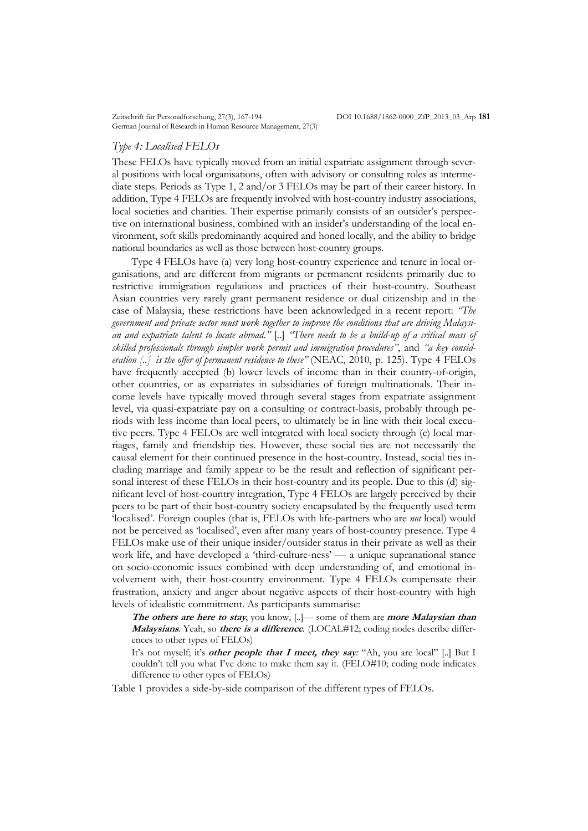## *Type 4: Localised FELOs*

These FELOs have typically moved from an initial expatriate assignment through several positions with local organisations, often with advisory or consulting roles as intermediate steps. Periods as Type 1, 2 and/or 3 FELOs may be part of their career history. In addition, Type 4 FELOs are frequently involved with host-country industry associations, local societies and charities. Their expertise primarily consists of an outsider's perspective on international business, combined with an insider's understanding of the local environment, soft skills predominantly acquired and honed locally, and the ability to bridge national boundaries as well as those between host-country groups.

Type 4 FELOs have (a) very long host-country experience and tenure in local organisations, and are different from migrants or permanent residents primarily due to restrictive immigration regulations and practices of their host-country. Southeast Asian countries very rarely grant permanent residence or dual citizenship and in the case of Malaysia, these restrictions have been acknowledged in a recent report: *"The government and private sector must work together to improve the conditions that are driving Malaysian and expatriate talent to locate abroad."* [..] *"There needs to be a build-up of a critical mass of skilled professionals through simpler work permit and immigration procedures"*, and *"a key consideration [..] is the offer of permanent residence to these"* (NEAC, 2010, p. 125). Type 4 FELOs have frequently accepted (b) lower levels of income than in their country-of-origin, other countries, or as expatriates in subsidiaries of foreign multinationals. Their income levels have typically moved through several stages from expatriate assignment level, via quasi-expatriate pay on a consulting or contract-basis, probably through periods with less income than local peers, to ultimately be in line with their local executive peers. Type 4 FELOs are well integrated with local society through (c) local marriages, family and friendship ties. However, these social ties are not necessarily the causal element for their continued presence in the host-country. Instead, social ties including marriage and family appear to be the result and reflection of significant personal interest of these FELOs in their host-country and its people. Due to this (d) significant level of host-country integration, Type 4 FELOs are largely perceived by their peers to be part of their host-country society encapsulated by the frequently used term 'localised'. Foreign couples (that is, FELOs with life-partners who are *not* local) would not be perceived as 'localised', even after many years of host-country presence. Type 4 FELOs make use of their unique insider/outsider status in their private as well as their work life, and have developed a 'third-culture-ness' — a unique supranational stance on socio-economic issues combined with deep understanding of, and emotional involvement with, their host-country environment. Type 4 FELOs compensate their frustration, anxiety and anger about negative aspects of their host-country with high levels of idealistic commitment. As participants summarise:

**The others are here to stay**, you know, [..]— some of them are **more Malaysian than Malaysians**. Yeah, so **there is a difference***.* (LOCAL#12; coding nodes describe differences to other types of FELOs)

It's not myself; it's *other people that I meet, they say*: "Ah, you are local" [..] But I couldn't tell you what I've done to make them say it. (FELO#10; coding node indicates difference to other types of FELOs)

Table 1 provides a side-by-side comparison of the different types of FELOs.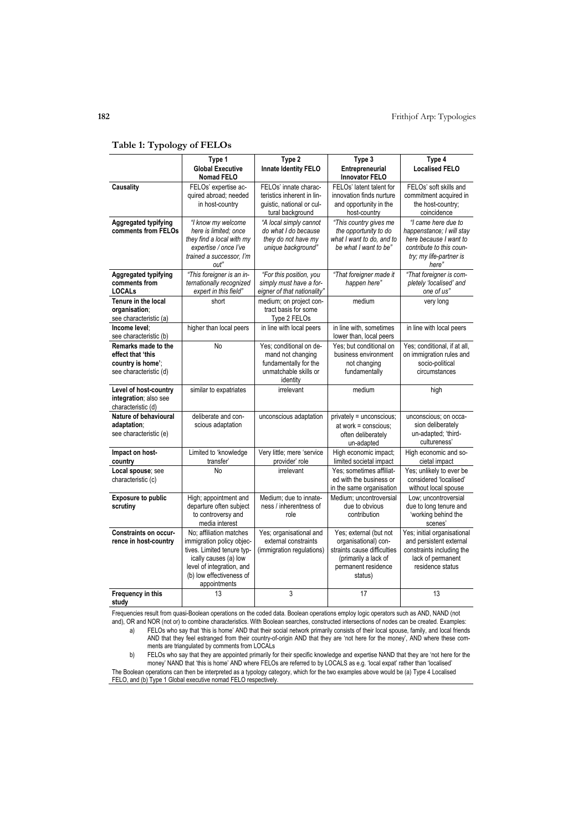|                                                                                         | Type 1<br><b>Global Executive</b><br><b>Nomad FELO</b>                                                                                                                               | Type 2<br>Innate Identity FELO                                                                                                       | Type 3<br>Entrepreneurial<br><b>Innovator FELO</b>                                                                                      | Type 4<br><b>Localised FELO</b>                                                                                                            |
|-----------------------------------------------------------------------------------------|--------------------------------------------------------------------------------------------------------------------------------------------------------------------------------------|--------------------------------------------------------------------------------------------------------------------------------------|-----------------------------------------------------------------------------------------------------------------------------------------|--------------------------------------------------------------------------------------------------------------------------------------------|
| <b>Causality</b>                                                                        | FELOs' expertise ac-<br>quired abroad; needed<br>in host-country                                                                                                                     | FELOs' innate charac-<br>teristics inherent in lin-<br>quistic, national or cul-<br>tural background                                 | FELOs' latent talent for<br>innovation finds nurture<br>and opportunity in the<br>host-country                                          | FELOs' soft skills and<br>commitment acquired in<br>the host-country;<br>coincidence                                                       |
| Aggregated typifying<br>comments from FELOs                                             | "I know my welcome<br>here is limited; once<br>they find a local with my<br>expertise / once l've<br>trained a successor, I'm<br>out"                                                | "A local simply cannot<br>do what I do because<br>they do not have my<br>unique background"                                          | "This country gives me<br>the opportunity to do<br>what I want to do, and to<br>be what I want to be"                                   | "I came here due to<br>happenstance; I will stay<br>here because I want to<br>contribute to this coun-<br>try; my life-partner is<br>here" |
| <b>Aggregated typifying</b><br>comments from<br><b>LOCALs</b>                           | "This foreigner is an in-<br>ternationally recognized<br>expert in this field"                                                                                                       | "For this position, you<br>simply must have a for-<br>eigner of that nationality"                                                    | "That foreigner made it<br>happen here"                                                                                                 | "That foreigner is com-<br>pletely 'localised' and<br>one of us"                                                                           |
| Tenure in the local<br>organisation:<br>see characteristic (a)                          | short                                                                                                                                                                                | medium; on project con-<br>tract basis for some<br>Type 2 FELOs                                                                      | medium                                                                                                                                  | very long                                                                                                                                  |
| Income level:<br>see characteristic (b)                                                 | higher than local peers                                                                                                                                                              | in line with local peers                                                                                                             | in line with, sometimes<br>lower than, local peers                                                                                      | in line with local peers                                                                                                                   |
| Remarks made to the<br>effect that 'this<br>country is home';<br>see characteristic (d) | No                                                                                                                                                                                   | Yes; conditional on de-<br>mand not changing<br>fundamentally for the<br>unmatchable skills or<br>identity                           | Yes: but conditional on<br>business environment<br>not changing<br>fundamentally                                                        | Yes; conditional, if at all,<br>on immigration rules and<br>socio-political<br>circumstances                                               |
| Level of host-country<br>integration; also see<br>characteristic (d)                    | similar to expatriates                                                                                                                                                               | irrelevant                                                                                                                           | medium                                                                                                                                  | high                                                                                                                                       |
| Nature of behavioural<br>adaptation;<br>see characteristic (e)                          | deliberate and con-<br>scious adaptation                                                                                                                                             | unconscious adaptation                                                                                                               | privately = unconscious;<br>at work = conscious;<br>often deliberately<br>un-adapted                                                    | unconscious: on occa-<br>sion deliberately<br>un-adapted; 'third-<br>cultureness'                                                          |
| Impact on host-<br>country                                                              | Limited to 'knowledge<br>transfer'                                                                                                                                                   | Very little; mere 'service<br>provider' role                                                                                         | High economic impact;<br>limited societal impact                                                                                        | High economic and so-<br>cietal impact                                                                                                     |
| Local spouse; see<br>characteristic (c)                                                 | No                                                                                                                                                                                   | irrelevant                                                                                                                           | Yes; sometimes affiliat-<br>ed with the business or<br>in the same organisation                                                         | Yes; unlikely to ever be<br>considered 'localised'<br>without local spouse                                                                 |
| <b>Exposure to public</b><br>scrutiny                                                   | High; appointment and<br>departure often subject<br>to controversy and<br>media interest                                                                                             | Medium: due to innate-<br>ness / inherentness of<br>role                                                                             | Medium; uncontroversial<br>due to obvious<br>contribution                                                                               | Low; uncontroversial<br>due to long tenure and<br>'working behind the<br>scenes'                                                           |
| Constraints on occur-<br>rence in host-country                                          | No; affiliation matches<br>immigration policy objec-<br>tives. Limited tenure typ-<br>ically causes (a) low<br>level of integration, and<br>(b) low effectiveness of<br>appointments | Yes; organisational and<br>external constraints<br>(immigration regulations)                                                         | Yes; external (but not<br>organisational) con-<br>straints cause difficulties<br>(primarily a lack of<br>permanent residence<br>status) | Yes; initial organisational<br>and persistent external<br>constraints including the<br>lack of permanent<br>residence status               |
| Frequency in this<br>study                                                              | 13                                                                                                                                                                                   | 3                                                                                                                                    | 17                                                                                                                                      | 13                                                                                                                                         |
|                                                                                         |                                                                                                                                                                                      | Frequencies result from quasi-Boolean operations on the coded data. Boolean operations employ logic operators such as AND, NAND (not |                                                                                                                                         |                                                                                                                                            |

**Table 1: Typology of FELOs** 

Frequencies result from quasi-Boolean operations on the coded data. Boolean operations employ logic operators such as AND, NAND (not and), OR and NOR (not or) to combine characteristics. With Boolean searches, constructed intersections of nodes can be created. Examples:

a) FELOs who say that 'this is home' AND that their social network primarily consists of their local spouse, family, and local friends AND that they feel estranged from their country-of-origin AND that they are 'not here for the money', AND where these com-ments are triangulated by comments from LOCALs

b) FELOs who say that they are appointed primarily for their specific knowledge and expertise NAND that they are 'not here for the money' NAND that 'this is home' AND where FELOs are referred to by LOCALS as e.g. 'local expat' rather than 'localised' The Boolean operations can then be interpreted as a typology category, which for the two examples above would be (a) Type 4 Localised FELO, and (b) Type 1 Global executive nomad FELO respectively.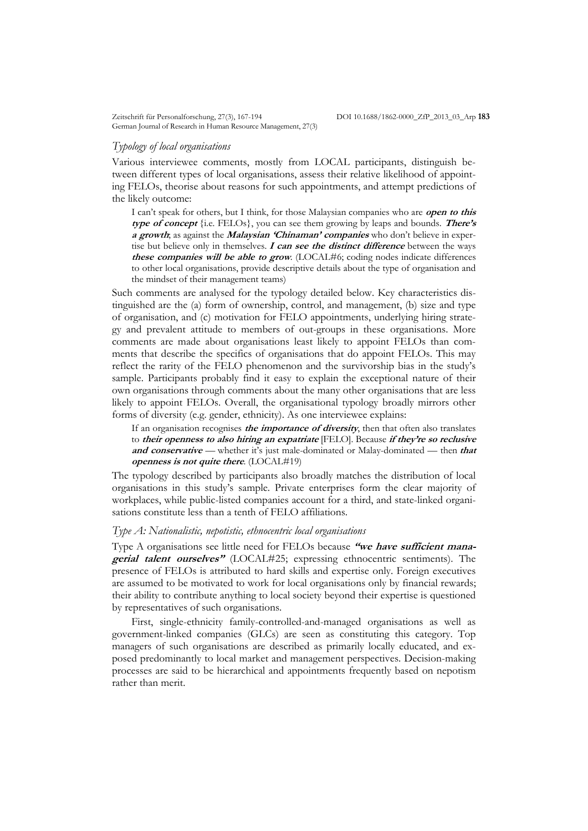#### *Typology of local organisations*

Various interviewee comments, mostly from LOCAL participants, distinguish between different types of local organisations, assess their relative likelihood of appointing FELOs, theorise about reasons for such appointments, and attempt predictions of the likely outcome:

I can't speak for others, but I think, for those Malaysian companies who are **open to this type of concept** {i.e. FELOs}, you can see them growing by leaps and bounds. **There's a growth**; as against the **Malaysian 'Chinaman' companies** who don't believe in expertise but believe only in themselves. **I can see the distinct difference** between the ways **these companies will be able to grow**. (LOCAL#6; coding nodes indicate differences to other local organisations, provide descriptive details about the type of organisation and the mindset of their management teams)

Such comments are analysed for the typology detailed below. Key characteristics distinguished are the (a) form of ownership, control, and management, (b) size and type of organisation, and (c) motivation for FELO appointments, underlying hiring strategy and prevalent attitude to members of out-groups in these organisations. More comments are made about organisations least likely to appoint FELOs than comments that describe the specifics of organisations that do appoint FELOs. This may reflect the rarity of the FELO phenomenon and the survivorship bias in the study's sample. Participants probably find it easy to explain the exceptional nature of their own organisations through comments about the many other organisations that are less likely to appoint FELOs. Overall, the organisational typology broadly mirrors other forms of diversity (e.g. gender, ethnicity). As one interviewee explains:

If an organisation recognises **the importance of diversity**, then that often also translates to **their openness to also hiring an expatriate** [FELO]. Because **if they're so reclusive and conservative** *—* whether it's just male-dominated or Malay-dominated — then **that openness is not quite there**. (LOCAL#19)

The typology described by participants also broadly matches the distribution of local organisations in this study's sample. Private enterprises form the clear majority of workplaces, while public-listed companies account for a third, and state-linked organisations constitute less than a tenth of FELO affiliations.

#### *Type A: Nationalistic, nepotistic, ethnocentric local organisations*

Type A organisations see little need for FELOs because **"we have sufficient managerial talent ourselves"** (LOCAL#25; expressing ethnocentric sentiments). The presence of FELOs is attributed to hard skills and expertise only. Foreign executives are assumed to be motivated to work for local organisations only by financial rewards; their ability to contribute anything to local society beyond their expertise is questioned by representatives of such organisations.

First, single-ethnicity family-controlled-and-managed organisations as well as government-linked companies (GLCs) are seen as constituting this category. Top managers of such organisations are described as primarily locally educated, and exposed predominantly to local market and management perspectives. Decision-making processes are said to be hierarchical and appointments frequently based on nepotism rather than merit.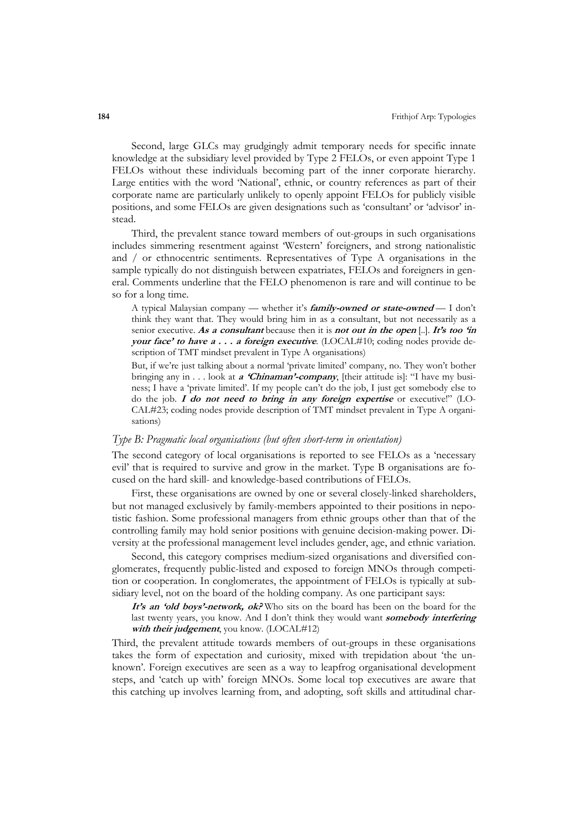Second, large GLCs may grudgingly admit temporary needs for specific innate knowledge at the subsidiary level provided by Type 2 FELOs, or even appoint Type 1 FELOs without these individuals becoming part of the inner corporate hierarchy. Large entities with the word 'National', ethnic, or country references as part of their corporate name are particularly unlikely to openly appoint FELOs for publicly visible positions, and some FELOs are given designations such as 'consultant' or 'advisor' instead.

Third, the prevalent stance toward members of out-groups in such organisations includes simmering resentment against 'Western' foreigners, and strong nationalistic and / or ethnocentric sentiments. Representatives of Type A organisations in the sample typically do not distinguish between expatriates, FELOs and foreigners in general. Comments underline that the FELO phenomenon is rare and will continue to be so for a long time.

A typical Malaysian company — whether it's **family-owned or state-owned** — I don't think they want that. They would bring him in as a consultant, but not necessarily as a senior executive. **As a consultant** because then it is **not out in the open** [..]. **It's too 'in your face' to have a . . . a foreign executive**. (LOCAL#10; coding nodes provide description of TMT mindset prevalent in Type A organisations)

But, if we're just talking about a normal 'private limited' company, no. They won't bother bringing any in . . . look at **a 'Chinaman'-company**, [their attitude is]: "I have my business; I have a 'private limited'. If my people can't do the job, I just get somebody else to do the job. **I do not need to bring in any foreign expertise** or executive!" (LO-CAL#23; coding nodes provide description of TMT mindset prevalent in Type A organisations)

#### *Type B: Pragmatic local organisations (but often short-term in orientation)*

The second category of local organisations is reported to see FELOs as a 'necessary evil' that is required to survive and grow in the market. Type B organisations are focused on the hard skill- and knowledge-based contributions of FELOs.

First, these organisations are owned by one or several closely-linked shareholders, but not managed exclusively by family-members appointed to their positions in nepotistic fashion. Some professional managers from ethnic groups other than that of the controlling family may hold senior positions with genuine decision-making power. Diversity at the professional management level includes gender, age, and ethnic variation.

Second, this category comprises medium-sized organisations and diversified conglomerates, frequently public-listed and exposed to foreign MNOs through competition or cooperation. In conglomerates, the appointment of FELOs is typically at subsidiary level, not on the board of the holding company. As one participant says:

**It's an 'old boys'-network, ok?** Who sits on the board has been on the board for the last twenty years, you know. And I don't think they would want **somebody interfering**  with their judgement, you know. (LOCAL#12)

Third, the prevalent attitude towards members of out-groups in these organisations takes the form of expectation and curiosity, mixed with trepidation about 'the unknown'. Foreign executives are seen as a way to leapfrog organisational development steps, and 'catch up with' foreign MNOs. Some local top executives are aware that this catching up involves learning from, and adopting, soft skills and attitudinal char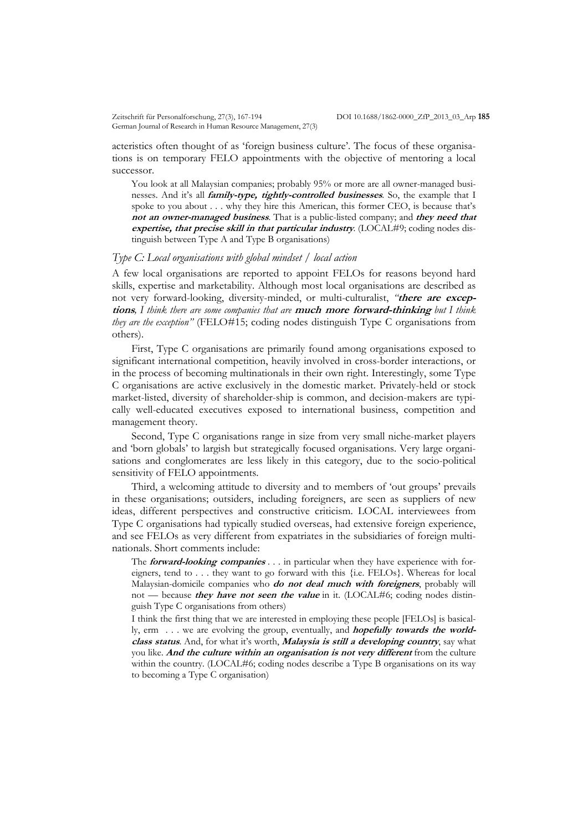Zeitschrift für Personalforschung, 27(3), 167-194 DOI 10.1688/1862-0000\_ZfP\_2013\_03\_Arp **185**  German Journal of Research in Human Resource Management, 27(3)

acteristics often thought of as 'foreign business culture'. The focus of these organisations is on temporary FELO appointments with the objective of mentoring a local successor.

You look at all Malaysian companies; probably 95% or more are all owner-managed businesses. And it's all **family-type, tightly-controlled businesses**. So, the example that I spoke to you about . . . why they hire this American, this former CEO, is because that's **not an owner-managed business**. That is a public-listed company; and **they need that expertise, that precise skill in that particular industry**. (LOCAL#9; coding nodes distinguish between Type A and Type B organisations)

#### *Type C: Local organisations with global mindset / local action*

A few local organisations are reported to appoint FELOs for reasons beyond hard skills, expertise and marketability. Although most local organisations are described as not very forward-looking, diversity-minded, or multi-culturalist, *"***there are exceptions***, I think there are some companies that are* **much more forward-thinking** *but I think they are the exception"* (FELO#15; coding nodes distinguish Type C organisations from others).

First, Type C organisations are primarily found among organisations exposed to significant international competition, heavily involved in cross-border interactions, or in the process of becoming multinationals in their own right. Interestingly, some Type C organisations are active exclusively in the domestic market. Privately-held or stock market-listed, diversity of shareholder-ship is common, and decision-makers are typically well-educated executives exposed to international business, competition and management theory.

Second, Type C organisations range in size from very small niche-market players and 'born globals' to largish but strategically focused organisations. Very large organisations and conglomerates are less likely in this category, due to the socio-political sensitivity of FELO appointments.

Third, a welcoming attitude to diversity and to members of 'out groups' prevails in these organisations; outsiders, including foreigners, are seen as suppliers of new ideas, different perspectives and constructive criticism. LOCAL interviewees from Type C organisations had typically studied overseas, had extensive foreign experience, and see FELOs as very different from expatriates in the subsidiaries of foreign multinationals. Short comments include:

The **forward-looking companies** . . . in particular when they have experience with foreigners, tend to . . . they want to go forward with this {i.e. FELOs}. Whereas for local Malaysian-domicile companies who **do not deal much with foreigners**, probably will not — because **they have not seen the value** in it. (LOCAL#6; coding nodes distinguish Type C organisations from others)

I think the first thing that we are interested in employing these people [FELOs] is basically, erm . . . we are evolving the group, eventually, and **hopefully towards the worldclass status**. And, for what it's worth, **Malaysia is still a developing country**, say what you like. **And the culture within an organisation is not very different** from the culture within the country. (LOCAL#6; coding nodes describe a Type B organisations on its way to becoming a Type C organisation)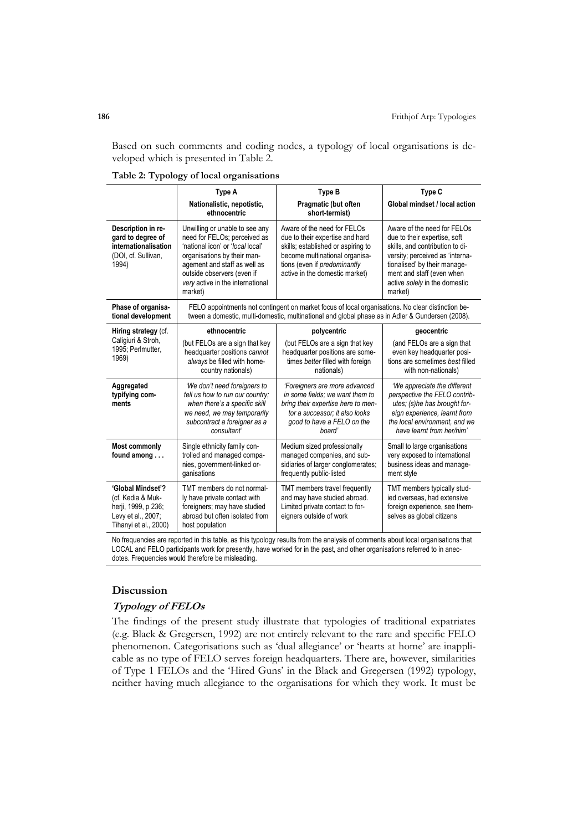Based on such comments and coding nodes, a typology of local organisations is developed which is presented in Table 2.

**Table 2: Typology of local organisations** 

|                                                                                                              | <b>Type A</b>                                                                                                                                                                                                                                  | <b>Type B</b>                                                                                                                                                                                            | Type C                                                                                                                                                                                                                                     |
|--------------------------------------------------------------------------------------------------------------|------------------------------------------------------------------------------------------------------------------------------------------------------------------------------------------------------------------------------------------------|----------------------------------------------------------------------------------------------------------------------------------------------------------------------------------------------------------|--------------------------------------------------------------------------------------------------------------------------------------------------------------------------------------------------------------------------------------------|
|                                                                                                              | Nationalistic, nepotistic,<br>ethnocentric                                                                                                                                                                                                     | Pragmatic (but often<br>short-termist)                                                                                                                                                                   | Global mindset / local action                                                                                                                                                                                                              |
| Description in re-<br>gard to degree of<br>internationalisation<br>(DOI, cf. Sullivan,<br>1994)              | Unwilling or unable to see any<br>need for FELOs; perceived as<br>'national icon' or 'local local'<br>organisations by their man-<br>agement and staff as well as<br>outside observers (even if<br>very active in the international<br>market) | Aware of the need for FELOs<br>due to their expertise and hard<br>skills; established or aspiring to<br>become multinational organisa-<br>tions (even if predominantly<br>active in the domestic market) | Aware of the need for FELOs<br>due to their expertise, soft<br>skills, and contribution to di-<br>versity; perceived as 'interna-<br>tionalised' by their manage-<br>ment and staff (even when<br>active solely in the domestic<br>market) |
| Phase of organisa-<br>tional development                                                                     | FELO appointments not contingent on market focus of local organisations. No clear distinction be-<br>tween a domestic, multi-domestic, multinational and global phase as in Adler & Gundersen (2008).                                          |                                                                                                                                                                                                          |                                                                                                                                                                                                                                            |
| Hiring strategy (cf.                                                                                         | ethnocentric                                                                                                                                                                                                                                   | polycentric                                                                                                                                                                                              | geocentric                                                                                                                                                                                                                                 |
| Caligiuri & Stroh,<br>1995: Perlmutter.<br>1969)                                                             | (but FELOs are a sign that key<br>headquarter positions cannot<br>always be filled with home-<br>country nationals)                                                                                                                            | (but FELOs are a sign that key<br>headquarter positions are some-<br>times better filled with foreign<br>nationals)                                                                                      | (and FELOs are a sign that<br>even key headquarter posi-<br>tions are sometimes best filled<br>with non-nationals)                                                                                                                         |
| Aggregated<br>typifying com-<br>ments                                                                        | 'We don't need foreigners to<br>tell us how to run our country:<br>when there's a specific skill<br>we need, we may temporarily<br>subcontract a foreigner as a<br>consultant'                                                                 | 'Foreigners are more advanced<br>in some fields; we want them to<br>bring their expertise here to men-<br>tor a successor; it also looks<br>good to have a FELO on the<br>board'                         | 'We appreciate the different<br>perspective the FELO contrib-<br>utes: (s)he has brought for-<br>eign experience, learnt from<br>the local environment, and we<br>have learnt from her/him'                                                |
| <b>Most commonly</b><br>found among                                                                          | Single ethnicity family con-<br>trolled and managed compa-<br>nies, government-linked or-<br>ganisations                                                                                                                                       | Medium sized professionally<br>managed companies, and sub-<br>sidiaries of larger conglomerates;<br>frequently public-listed                                                                             | Small to large organisations<br>very exposed to international<br>business ideas and manage-<br>ment style                                                                                                                                  |
| 'Global Mindset'?<br>(cf. Kedia & Muk-<br>herji, 1999, p 236;<br>Levy et al., 2007;<br>Tihanyi et al., 2000) | TMT members do not normal-<br>ly have private contact with<br>foreigners; may have studied<br>abroad but often isolated from<br>host population                                                                                                | TMT members travel frequently<br>and may have studied abroad.<br>Limited private contact to for-<br>eigners outside of work                                                                              | TMT members typically stud-<br>ied overseas, had extensive<br>foreign experience, see them-<br>selves as global citizens                                                                                                                   |

No frequencies are reported in this table, as this typology results from the analysis of comments about local organisations that LOCAL and FELO participants work for presently, have worked for in the past, and other organisations referred to in anecdotes. Frequencies would therefore be misleading.

## **Discussion**

## **Typology of FELOs**

The findings of the present study illustrate that typologies of traditional expatriates (e.g. Black & Gregersen, 1992) are not entirely relevant to the rare and specific FELO phenomenon. Categorisations such as 'dual allegiance' or 'hearts at home' are inapplicable as no type of FELO serves foreign headquarters. There are, however, similarities of Type 1 FELOs and the 'Hired Guns' in the Black and Gregersen (1992) typology, neither having much allegiance to the organisations for which they work. It must be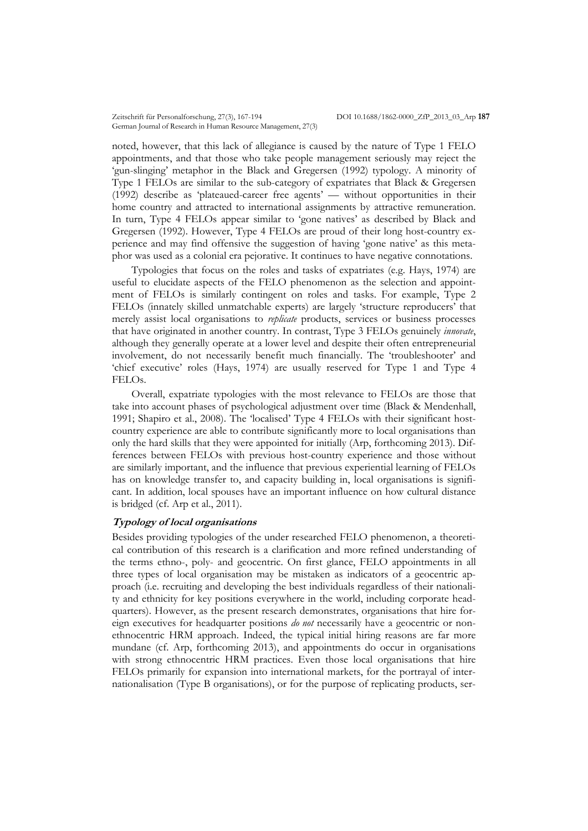noted, however, that this lack of allegiance is caused by the nature of Type 1 FELO appointments, and that those who take people management seriously may reject the 'gun-slinging' metaphor in the Black and Gregersen (1992) typology. A minority of Type 1 FELOs are similar to the sub-category of expatriates that Black & Gregersen (1992) describe as 'plateaued-career free agents' — without opportunities in their home country and attracted to international assignments by attractive remuneration. In turn, Type 4 FELOs appear similar to 'gone natives' as described by Black and Gregersen (1992). However, Type 4 FELOs are proud of their long host-country experience and may find offensive the suggestion of having 'gone native' as this metaphor was used as a colonial era pejorative. It continues to have negative connotations.

Typologies that focus on the roles and tasks of expatriates (e.g. Hays, 1974) are useful to elucidate aspects of the FELO phenomenon as the selection and appointment of FELOs is similarly contingent on roles and tasks. For example, Type 2 FELOs (innately skilled unmatchable experts) are largely 'structure reproducers' that merely assist local organisations to *replicate* products, services or business processes that have originated in another country. In contrast, Type 3 FELOs genuinely *innovate*, although they generally operate at a lower level and despite their often entrepreneurial involvement, do not necessarily benefit much financially. The 'troubleshooter' and 'chief executive' roles (Hays, 1974) are usually reserved for Type 1 and Type 4 FELOs.

Overall, expatriate typologies with the most relevance to FELOs are those that take into account phases of psychological adjustment over time (Black & Mendenhall, 1991; Shapiro et al., 2008). The 'localised' Type 4 FELOs with their significant hostcountry experience are able to contribute significantly more to local organisations than only the hard skills that they were appointed for initially (Arp, forthcoming 2013). Differences between FELOs with previous host-country experience and those without are similarly important, and the influence that previous experiential learning of FELOs has on knowledge transfer to, and capacity building in, local organisations is significant. In addition, local spouses have an important influence on how cultural distance is bridged (cf. Arp et al., 2011).

## **Typology of local organisations**

Besides providing typologies of the under researched FELO phenomenon, a theoretical contribution of this research is a clarification and more refined understanding of the terms ethno-, poly- and geocentric. On first glance, FELO appointments in all three types of local organisation may be mistaken as indicators of a geocentric approach (i.e. recruiting and developing the best individuals regardless of their nationality and ethnicity for key positions everywhere in the world, including corporate headquarters). However, as the present research demonstrates, organisations that hire foreign executives for headquarter positions *do not* necessarily have a geocentric or nonethnocentric HRM approach. Indeed, the typical initial hiring reasons are far more mundane (cf. Arp, forthcoming 2013), and appointments do occur in organisations with strong ethnocentric HRM practices. Even those local organisations that hire FELOs primarily for expansion into international markets, for the portrayal of internationalisation (Type B organisations), or for the purpose of replicating products, ser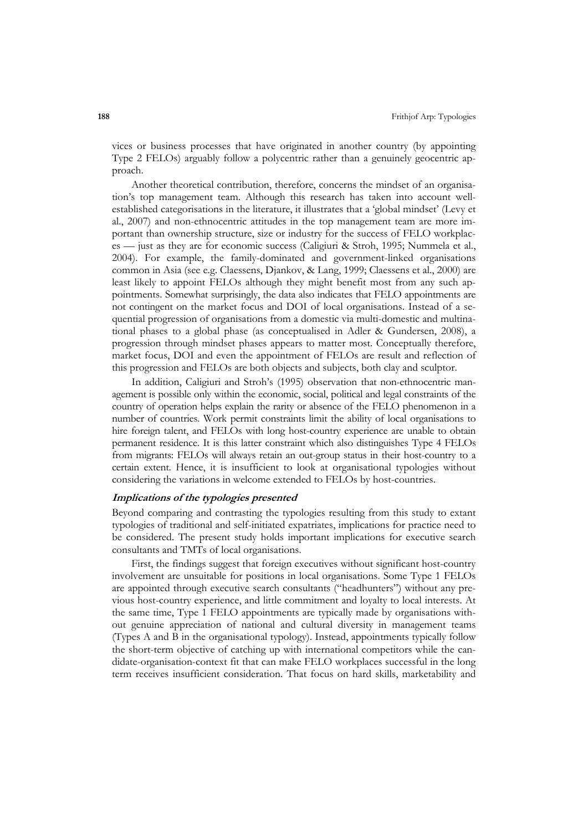vices or business processes that have originated in another country (by appointing Type 2 FELOs) arguably follow a polycentric rather than a genuinely geocentric approach.

Another theoretical contribution, therefore, concerns the mindset of an organisation's top management team. Although this research has taken into account wellestablished categorisations in the literature, it illustrates that a 'global mindset' (Levy et al., 2007) and non-ethnocentric attitudes in the top management team are more important than ownership structure, size or industry for the success of FELO workplaces — just as they are for economic success (Caligiuri & Stroh, 1995; Nummela et al., 2004). For example, the family-dominated and government-linked organisations common in Asia (see e.g. Claessens, Djankov, & Lang, 1999; Claessens et al., 2000) are least likely to appoint FELOs although they might benefit most from any such appointments. Somewhat surprisingly, the data also indicates that FELO appointments are not contingent on the market focus and DOI of local organisations. Instead of a sequential progression of organisations from a domestic via multi-domestic and multinational phases to a global phase (as conceptualised in Adler & Gundersen, 2008), a progression through mindset phases appears to matter most. Conceptually therefore, market focus, DOI and even the appointment of FELOs are result and reflection of this progression and FELOs are both objects and subjects, both clay and sculptor.

In addition, Caligiuri and Stroh's (1995) observation that non-ethnocentric management is possible only within the economic, social, political and legal constraints of the country of operation helps explain the rarity or absence of the FELO phenomenon in a number of countries. Work permit constraints limit the ability of local organisations to hire foreign talent, and FELOs with long host-country experience are unable to obtain permanent residence. It is this latter constraint which also distinguishes Type 4 FELOs from migrants: FELOs will always retain an out-group status in their host-country to a certain extent. Hence, it is insufficient to look at organisational typologies without considering the variations in welcome extended to FELOs by host-countries.

#### **Implications of the typologies presented**

Beyond comparing and contrasting the typologies resulting from this study to extant typologies of traditional and self-initiated expatriates, implications for practice need to be considered. The present study holds important implications for executive search consultants and TMTs of local organisations.

First, the findings suggest that foreign executives without significant host-country involvement are unsuitable for positions in local organisations. Some Type 1 FELOs are appointed through executive search consultants ("headhunters") without any previous host-country experience, and little commitment and loyalty to local interests. At the same time, Type 1 FELO appointments are typically made by organisations without genuine appreciation of national and cultural diversity in management teams (Types A and B in the organisational typology). Instead, appointments typically follow the short-term objective of catching up with international competitors while the candidate-organisation-context fit that can make FELO workplaces successful in the long term receives insufficient consideration. That focus on hard skills, marketability and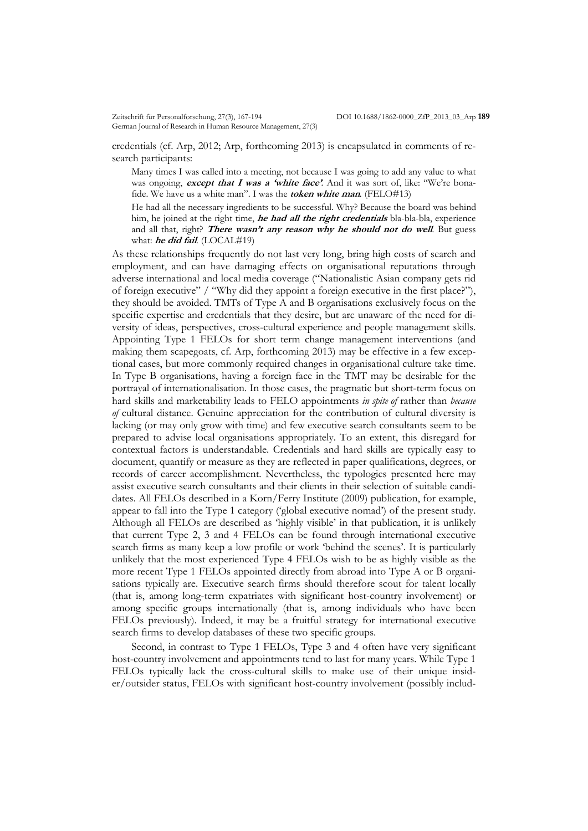credentials (cf. Arp, 2012; Arp, forthcoming 2013) is encapsulated in comments of research participants:

Many times I was called into a meeting, not because I was going to add any value to what was ongoing, **except that I was a 'white face'***.* And it was sort of, like: "We're bonafide. We have us a white man". I was the **token white man***.* (FELO#13)

He had all the necessary ingredients to be successful. Why? Because the board was behind him, he joined at the right time, **he had all the right credentials** bla-bla-bla, experience and all that, right? **There wasn't any reason why he should not do well***.* But guess what: *he did fail.* (LOCAL#19)

As these relationships frequently do not last very long, bring high costs of search and employment, and can have damaging effects on organisational reputations through adverse international and local media coverage ("Nationalistic Asian company gets rid of foreign executive" / "Why did they appoint a foreign executive in the first place?"), they should be avoided. TMTs of Type A and B organisations exclusively focus on the specific expertise and credentials that they desire, but are unaware of the need for diversity of ideas, perspectives, cross-cultural experience and people management skills. Appointing Type 1 FELOs for short term change management interventions (and making them scapegoats, cf. Arp, forthcoming 2013) may be effective in a few exceptional cases, but more commonly required changes in organisational culture take time. In Type B organisations, having a foreign face in the TMT may be desirable for the portrayal of internationalisation. In those cases, the pragmatic but short-term focus on hard skills and marketability leads to FELO appointments *in spite of* rather than *because of* cultural distance. Genuine appreciation for the contribution of cultural diversity is lacking (or may only grow with time) and few executive search consultants seem to be prepared to advise local organisations appropriately. To an extent, this disregard for contextual factors is understandable. Credentials and hard skills are typically easy to document, quantify or measure as they are reflected in paper qualifications, degrees, or records of career accomplishment. Nevertheless, the typologies presented here may assist executive search consultants and their clients in their selection of suitable candidates. All FELOs described in a Korn/Ferry Institute (2009) publication, for example, appear to fall into the Type 1 category ('global executive nomad') of the present study. Although all FELOs are described as 'highly visible' in that publication, it is unlikely that current Type 2, 3 and 4 FELOs can be found through international executive search firms as many keep a low profile or work 'behind the scenes'. It is particularly unlikely that the most experienced Type 4 FELOs wish to be as highly visible as the more recent Type 1 FELOs appointed directly from abroad into Type A or B organisations typically are. Executive search firms should therefore scout for talent locally (that is, among long-term expatriates with significant host-country involvement) or among specific groups internationally (that is, among individuals who have been FELOs previously). Indeed, it may be a fruitful strategy for international executive search firms to develop databases of these two specific groups.

Second, in contrast to Type 1 FELOs, Type 3 and 4 often have very significant host-country involvement and appointments tend to last for many years. While Type 1 FELOs typically lack the cross-cultural skills to make use of their unique insider/outsider status, FELOs with significant host-country involvement (possibly includ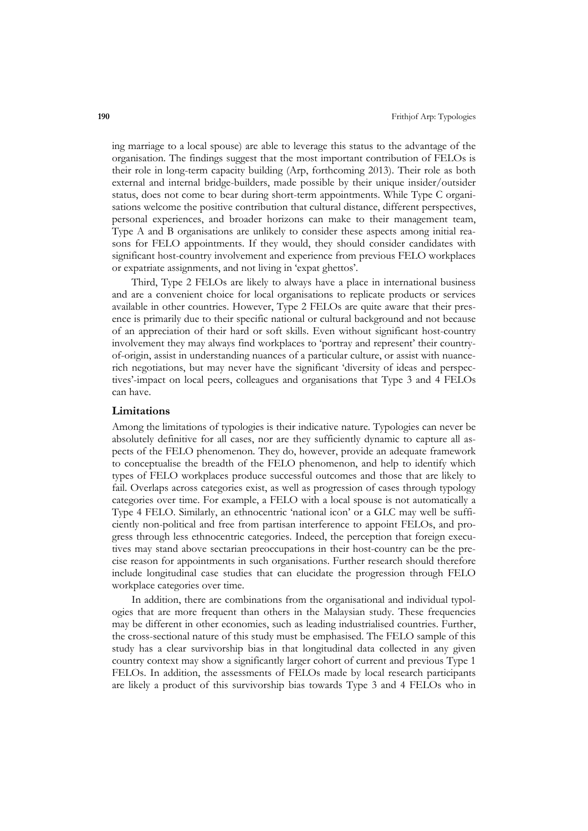ing marriage to a local spouse) are able to leverage this status to the advantage of the organisation. The findings suggest that the most important contribution of FELOs is their role in long-term capacity building (Arp, forthcoming 2013). Their role as both external and internal bridge-builders, made possible by their unique insider/outsider status, does not come to bear during short-term appointments. While Type C organisations welcome the positive contribution that cultural distance, different perspectives, personal experiences, and broader horizons can make to their management team, Type A and B organisations are unlikely to consider these aspects among initial reasons for FELO appointments. If they would, they should consider candidates with significant host-country involvement and experience from previous FELO workplaces or expatriate assignments, and not living in 'expat ghettos'.

Third, Type 2 FELOs are likely to always have a place in international business and are a convenient choice for local organisations to replicate products or services available in other countries. However, Type 2 FELOs are quite aware that their presence is primarily due to their specific national or cultural background and not because of an appreciation of their hard or soft skills. Even without significant host-country involvement they may always find workplaces to 'portray and represent' their countryof-origin, assist in understanding nuances of a particular culture, or assist with nuancerich negotiations, but may never have the significant 'diversity of ideas and perspectives'-impact on local peers, colleagues and organisations that Type 3 and 4 FELOs can have.

#### **Limitations**

Among the limitations of typologies is their indicative nature. Typologies can never be absolutely definitive for all cases, nor are they sufficiently dynamic to capture all aspects of the FELO phenomenon. They do, however, provide an adequate framework to conceptualise the breadth of the FELO phenomenon, and help to identify which types of FELO workplaces produce successful outcomes and those that are likely to fail. Overlaps across categories exist, as well as progression of cases through typology categories over time. For example, a FELO with a local spouse is not automatically a Type 4 FELO. Similarly, an ethnocentric 'national icon' or a GLC may well be sufficiently non-political and free from partisan interference to appoint FELOs, and progress through less ethnocentric categories. Indeed, the perception that foreign executives may stand above sectarian preoccupations in their host-country can be the precise reason for appointments in such organisations. Further research should therefore include longitudinal case studies that can elucidate the progression through FELO workplace categories over time.

In addition, there are combinations from the organisational and individual typologies that are more frequent than others in the Malaysian study. These frequencies may be different in other economies, such as leading industrialised countries. Further, the cross-sectional nature of this study must be emphasised. The FELO sample of this study has a clear survivorship bias in that longitudinal data collected in any given country context may show a significantly larger cohort of current and previous Type 1 FELOs. In addition, the assessments of FELOs made by local research participants are likely a product of this survivorship bias towards Type 3 and 4 FELOs who in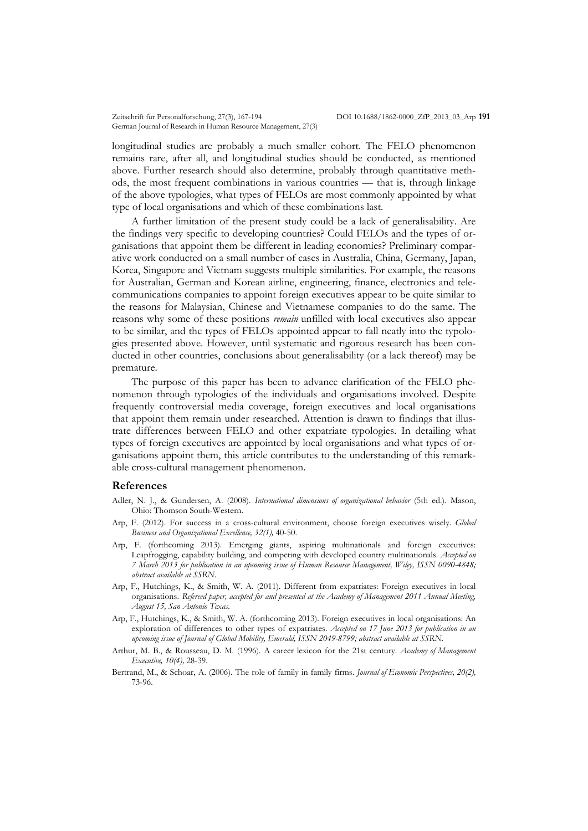longitudinal studies are probably a much smaller cohort. The FELO phenomenon remains rare, after all, and longitudinal studies should be conducted, as mentioned above. Further research should also determine, probably through quantitative methods, the most frequent combinations in various countries — that is, through linkage of the above typologies, what types of FELOs are most commonly appointed by what type of local organisations and which of these combinations last.

A further limitation of the present study could be a lack of generalisability. Are the findings very specific to developing countries? Could FELOs and the types of organisations that appoint them be different in leading economies? Preliminary comparative work conducted on a small number of cases in Australia, China, Germany, Japan, Korea, Singapore and Vietnam suggests multiple similarities. For example, the reasons for Australian, German and Korean airline, engineering, finance, electronics and telecommunications companies to appoint foreign executives appear to be quite similar to the reasons for Malaysian, Chinese and Vietnamese companies to do the same. The reasons why some of these positions *remain* unfilled with local executives also appear to be similar, and the types of FELOs appointed appear to fall neatly into the typologies presented above. However, until systematic and rigorous research has been conducted in other countries, conclusions about generalisability (or a lack thereof) may be premature.

The purpose of this paper has been to advance clarification of the FELO phenomenon through typologies of the individuals and organisations involved. Despite frequently controversial media coverage, foreign executives and local organisations that appoint them remain under researched. Attention is drawn to findings that illustrate differences between FELO and other expatriate typologies. In detailing what types of foreign executives are appointed by local organisations and what types of organisations appoint them, this article contributes to the understanding of this remarkable cross-cultural management phenomenon.

#### **References**

- Adler, N. J., & Gundersen, A. (2008). *International dimensions of organizational behavior* (5th ed.). Mason, Ohio: Thomson South-Western.
- Arp, F. (2012). For success in a cross-cultural environment, choose foreign executives wisely. *Global Business and Organizational Excellence, 32(1),* 40-50.
- Arp, F. (forthcoming 2013). Emerging giants, aspiring multinationals and foreign executives: Leapfrogging, capability building, and competing with developed country multinationals. *Accepted on 7 March 2013 for publication in an upcoming issue of Human Resource Management, Wiley, ISSN 0090-4848; abstract available at SSRN*.
- Arp, F., Hutchings, K., & Smith, W. A. (2011). Different from expatriates: Foreign executives in local organisations. *Refereed paper, accepted for and presented at the Academy of Management 2011 Annual Meeting, August 15, San Antonio Texas*.
- Arp, F., Hutchings, K., & Smith, W. A. (forthcoming 2013). Foreign executives in local organisations: An exploration of differences to other types of expatriates. *Accepted on 17 June 2013 for publication in an upcoming issue of Journal of Global Mobility, Emerald, ISSN 2049-8799; abstract available at SSRN*.
- Arthur, M. B., & Rousseau, D. M. (1996). A career lexicon for the 21st century. *Academy of Management Executive, 10(4),* 28-39.
- Bertrand, M., & Schoar, A. (2006). The role of family in family firms. *Journal of Economic Perspectives, 20(2),*  73-96.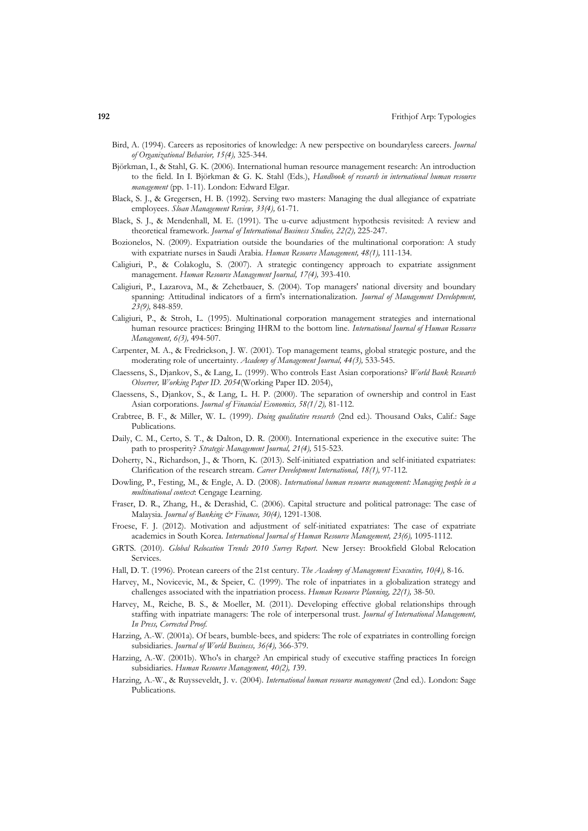- Bird, A. (1994). Careers as repositories of knowledge: A new perspective on boundaryless careers. *Journal of Organizational Behavior, 15(4),* 325-344.
- Björkman, I., & Stahl, G. K. (2006). International human resource management research: An introduction to the field. In I. Björkman & G. K. Stahl (Eds.), *Handbook of research in international human resource management* (pp. 1-11). London: Edward Elgar.
- Black, S. J., & Gregersen, H. B. (1992). Serving two masters: Managing the dual allegiance of expatriate employees. *Sloan Management Review, 33(4),* 61-71.
- Black, S. J., & Mendenhall, M. E. (1991). The u-curve adjustment hypothesis revisited: A review and theoretical framework. *Journal of International Business Studies, 22(2),* 225-247.
- Bozionelos, N. (2009). Expatriation outside the boundaries of the multinational corporation: A study with expatriate nurses in Saudi Arabia. *Human Resource Management, 48(1),* 111-134.
- Caligiuri, P., & Colakoglu, S. (2007). A strategic contingency approach to expatriate assignment management. *Human Resource Management Journal, 17(4),* 393-410.
- Caligiuri, P., Lazarova, M., & Zehetbauer, S. (2004). Top managers' national diversity and boundary spanning: Attitudinal indicators of a firm's internationalization. *Journal of Management Development, 23(9),* 848-859.
- Caligiuri, P., & Stroh, L. (1995). Multinational corporation management strategies and international human resource practices: Bringing IHRM to the bottom line. *International Journal of Human Resource Management, 6(3),* 494-507.
- Carpenter, M. A., & Fredrickson, J. W. (2001). Top management teams, global strategic posture, and the moderating role of uncertainty. *Academy of Management Journal, 44(3),* 533-545.
- Claessens, S., Djankov, S., & Lang, L. (1999). Who controls East Asian corporations? *World Bank Research Observer, Working Paper ID. 2054*(Working Paper ID. 2054),
- Claessens, S., Djankov, S., & Lang, L. H. P. (2000). The separation of ownership and control in East Asian corporations. *Journal of Financial Economics, 58(1/2),* 81-112.
- Crabtree, B. F., & Miller, W. L. (1999). *Doing qualitative research* (2nd ed.). Thousand Oaks, Calif.: Sage Publications.
- Daily, C. M., Certo, S. T., & Dalton, D. R. (2000). International experience in the executive suite: The path to prosperity? *Strategic Management Journal, 21(4),* 515-523.
- Doherty, N., Richardson, J., & Thorn, K. (2013). Self-initiated expatriation and self-initiated expatriates: Clarification of the research stream. *Career Development International, 18(1),* 97-112.
- Dowling, P., Festing, M., & Engle, A. D. (2008). *International human resource management: Managing people in a multinational context*: Cengage Learning.
- Fraser, D. R., Zhang, H., & Derashid, C. (2006). Capital structure and political patronage: The case of Malaysia. *Journal of Banking & Finance, 30(4),* 1291-1308.
- Froese, F. J. (2012). Motivation and adjustment of self-initiated expatriates: The case of expatriate academics in South Korea. *International Journal of Human Resource Management, 23(6),* 1095-1112.
- GRTS. (2010). *Global Relocation Trends 2010 Survey Report*. New Jersey: Brookfield Global Relocation Services.
- Hall, D. T. (1996). Protean careers of the 21st century. *The Academy of Management Executive, 10(4),* 8-16.
- Harvey, M., Novicevic, M., & Speier, C. (1999). The role of inpatriates in a globalization strategy and challenges associated with the inpatriation process. *Human Resource Planning, 22(1),* 38-50.
- Harvey, M., Reiche, B. S., & Moeller, M. (2011). Developing effective global relationships through staffing with inpatriate managers: The role of interpersonal trust. *Journal of International Management, In Press, Corrected Proof*.
- Harzing, A.-W. (2001a). Of bears, bumble-bees, and spiders: The role of expatriates in controlling foreign subsidiaries. *Journal of World Business, 36(4),* 366-379.
- Harzing, A.-W. (2001b). Who's in charge? An empirical study of executive staffing practices In foreign subsidiaries. *Human Resource Management, 40(2), 1*39.
- Harzing, A.-W., & Ruysseveldt, J. v. (2004). *International human resource management* (2nd ed.). London: Sage Publications.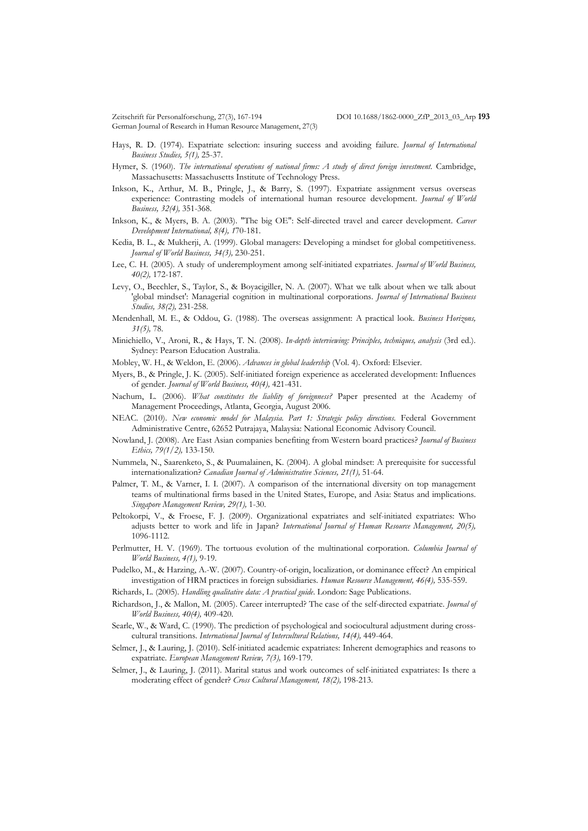Zeitschrift für Personalforschung, 27(3), 167-194 DOI 10.1688/1862-0000\_ZfP\_2013\_03\_Arp **193**  German Journal of Research in Human Resource Management, 27(3)

- Hays, R. D. (1974). Expatriate selection: insuring success and avoiding failure. *Journal of International Business Studies, 5(1),* 25-37.
- Hymer, S. (1960). *The international operations of national firms: A study of direct foreign investment*. Cambridge, Massachusetts: Massachusetts Institute of Technology Press.
- Inkson, K., Arthur, M. B., Pringle, J., & Barry, S. (1997). Expatriate assignment versus overseas experience: Contrasting models of international human resource development. *Journal of World Business, 32(4),* 351-368.
- Inkson, K., & Myers, B. A. (2003). "The big OE": Self-directed travel and career development. *Career Development International, 8(4), 1*70-181.
- Kedia, B. L., & Mukherji, A. (1999). Global managers: Developing a mindset for global competitiveness. *Journal of World Business, 34(3),* 230-251.
- Lee, C. H. (2005). A study of underemployment among self-initiated expatriates. *Journal of World Business, 40(2),* 172-187.
- Levy, O., Beechler, S., Taylor, S., & Boyacigiller, N. A. (2007). What we talk about when we talk about 'global mindset': Managerial cognition in multinational corporations. *Journal of International Business Studies, 38(2),* 231-258.
- Mendenhall, M. E., & Oddou, G. (1988). The overseas assignment: A practical look. *Business Horizons, 31(5),* 78.
- Minichiello, V., Aroni, R., & Hays, T. N. (2008). *In-depth interviewing: Principles, techniques, analysis* (3rd ed.). Sydney: Pearson Education Australia.
- Mobley, W. H., & Weldon, E. (2006). *Advances in global leadership* (Vol. 4). Oxford: Elsevier.
- Myers, B., & Pringle, J. K. (2005). Self-initiated foreign experience as accelerated development: Influences of gender. *Journal of World Business, 40(4),* 421-431.
- Nachum, L. (2006). *What constitutes the liablity of foreignness?* Paper presented at the Academy of Management Proceedings, Atlanta, Georgia, August 2006.
- NEAC. (2010). *New economic model for Malaysia. Part 1: Strategic policy directions*. Federal Government Administrative Centre, 62652 Putrajaya, Malaysia: National Economic Advisory Council.
- Nowland, J. (2008). Are East Asian companies benefiting from Western board practices? *Journal of Business Ethics, 79(1/2),* 133-150.
- Nummela, N., Saarenketo, S., & Puumalainen, K. (2004). A global mindset: A prerequisite for successful internationalization? *Canadian Journal of Administrative Sciences, 21(1),* 51-64.
- Palmer, T. M., & Varner, I. I. (2007). A comparison of the international diversity on top management teams of multinational firms based in the United States, Europe, and Asia: Status and implications. *Singapore Management Review, 29(1),* 1-30.
- Peltokorpi, V., & Froese, F. J. (2009). Organizational expatriates and self-initiated expatriates: Who adjusts better to work and life in Japan? *International Journal of Human Resource Management, 20(5),*  1096-1112.
- Perlmutter, H. V. (1969). The tortuous evolution of the multinational corporation. *Columbia Journal of World Business, 4(1),* 9-19.
- Pudelko, M., & Harzing, A.-W. (2007). Country-of-origin, localization, or dominance effect? An empirical investigation of HRM practices in foreign subsidiaries. *Human Resource Management, 46(4),* 535-559.
- Richards, L. (2005). *Handling qualitative data: A practical guide*. London: Sage Publications.
- Richardson, J., & Mallon, M. (2005). Career interrupted? The case of the self-directed expatriate. *Journal of World Business, 40(4),* 409-420.
- Searle, W., & Ward, C. (1990). The prediction of psychological and sociocultural adjustment during crosscultural transitions. *International Journal of Intercultural Relations, 14(4),* 449-464.
- Selmer, J., & Lauring, J. (2010). Self-initiated academic expatriates: Inherent demographics and reasons to expatriate. *European Management Review, 7(3),* 169-179.
- Selmer, J., & Lauring, J. (2011). Marital status and work outcomes of self-initiated expatriates: Is there a moderating effect of gender? *Cross Cultural Management, 18(2),* 198-213.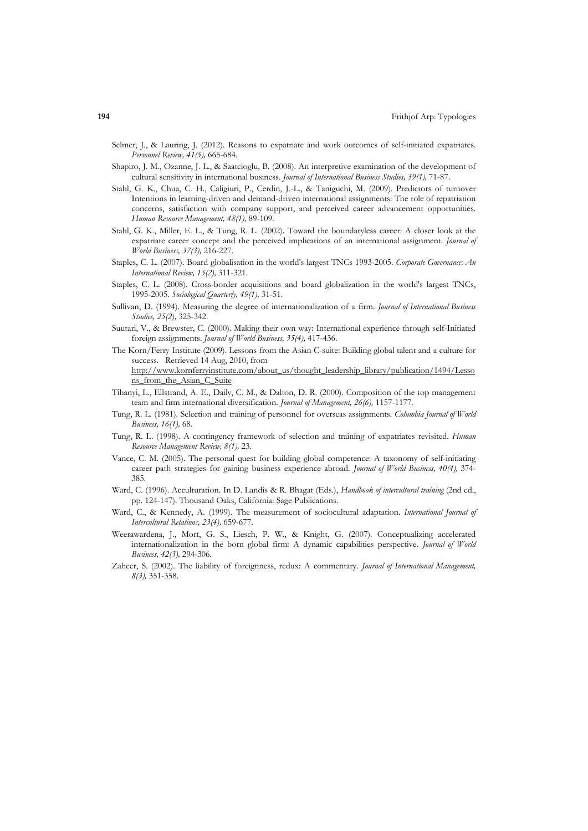#### **194** Frithjof Arp: Typologies

- Selmer, J., & Lauring, J. (2012). Reasons to expatriate and work outcomes of self-initiated expatriates. *Personnel Review, 41(5),* 665-684.
- Shapiro, J. M., Ozanne, J. L., & Saatcioglu, B. (2008). An interpretive examination of the development of cultural sensitivity in international business. *Journal of International Business Studies, 39(1),* 71-87.
- Stahl, G. K., Chua, C. H., Caligiuri, P., Cerdin, J.-L., & Taniguchi, M. (2009). Predictors of turnover Intentions in learning-driven and demand-driven international assignments: The role of repatriation concerns, satisfaction with company support, and perceived career advancement opportunities. *Human Resource Management, 48(1),* 89-109.
- Stahl, G. K., Miller, E. L., & Tung, R. L. (2002). Toward the boundaryless career: A closer look at the expatriate career concept and the perceived implications of an international assignment. *Journal of World Business, 37(3),* 216-227.
- Staples, C. L. (2007). Board globalisation in the world's largest TNCs 1993-2005. *Corporate Governance: An International Review, 15(2),* 311-321.
- Staples, C. L. (2008). Cross-border acquisitions and board globalization in the world's largest TNCs, 1995-2005. *Sociological Quarterly, 49(1),* 31-51.
- Sullivan, D. (1994). Measuring the degree of internationalization of a firm. *Journal of International Business Studies, 25(2),* 325-342.
- Suutari, V., & Brewster, C. (2000). Making their own way: International experience through self-Initiated foreign assignments. *Journal of World Business, 35(4),* 417-436.
- The Korn/Ferry Institute (2009). Lessons from the Asian C-suite: Building global talent and a culture for success. Retrieved 14 Aug, 2010, from http://www.kornferryinstitute.com/about\_us/thought\_leadership\_library/publication/1494/Lesso ns\_from\_the\_Asian\_C\_Suite
- Tihanyi, L., Ellstrand, A. E., Daily, C. M., & Dalton, D. R. (2000). Composition of the top management team and firm international diversification. *Journal of Management, 26(6),* 1157-1177.
- Tung, R. L. (1981). Selection and training of personnel for overseas assignments. *Columbia Journal of World Business, 16(1),* 68.
- Tung, R. L. (1998). A contingency framework of selection and training of expatriates revisited. *Human Resource Management Review, 8(1),* 23.
- Vance, C. M. (2005). The personal quest for building global competence: A taxonomy of self-initiating career path strategies for gaining business experience abroad. *Journal of World Business, 40(4),* 374- 385.
- Ward, C. (1996). Acculturation. In D. Landis & R. Bhagat (Eds.), *Handbook of intercultural training* (2nd ed., pp. 124-147). Thousand Oaks, California: Sage Publications.
- Ward, C., & Kennedy, A. (1999). The measurement of sociocultural adaptation. *International Journal of Intercultural Relations, 23(4),* 659-677.
- Weerawardena, J., Mort, G. S., Liesch, P. W., & Knight, G. (2007). Conceptualizing accelerated internationalization in the born global firm: A dynamic capabilities perspective. *Journal of World Business, 42(3),* 294-306.
- Zaheer, S. (2002). The liability of foreignness, redux: A commentary. *Journal of International Management, 8(3),* 351-358.